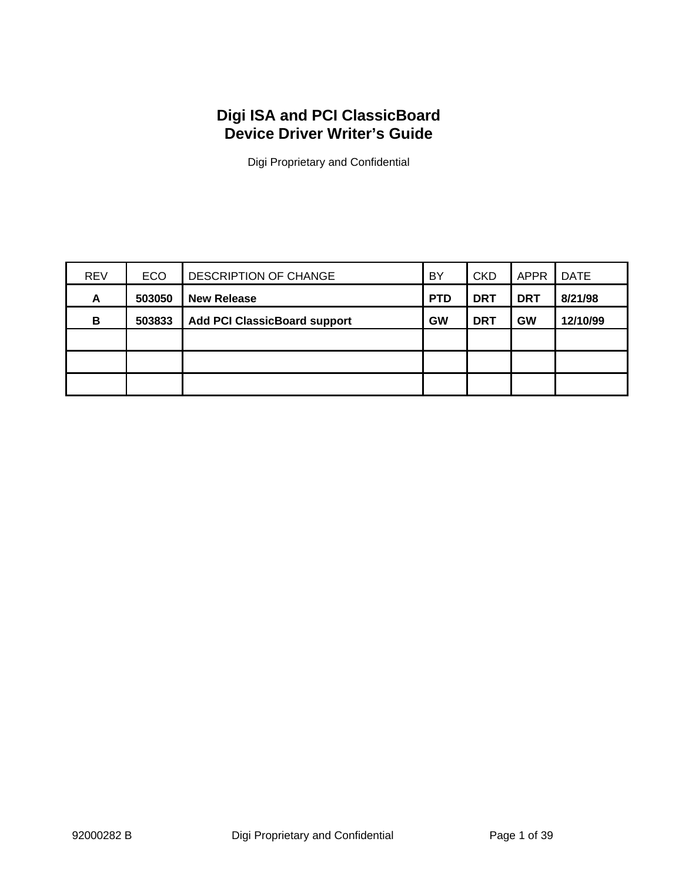# **Digi ISA and PCI ClassicBoard Device Driver Writer's Guide**

Digi Proprietary and Confidential

| <b>REV</b> | <b>ECO</b> | <b>DESCRIPTION OF CHANGE</b>        | BY         | <b>CKD</b> | <b>APPR</b> | <b>DATE</b> |
|------------|------------|-------------------------------------|------------|------------|-------------|-------------|
| A          | 503050     | <b>New Release</b>                  | <b>PTD</b> | <b>DRT</b> | <b>DRT</b>  | 8/21/98     |
| В          | 503833     | <b>Add PCI ClassicBoard support</b> | <b>GW</b>  | <b>DRT</b> | <b>GW</b>   | 12/10/99    |
|            |            |                                     |            |            |             |             |
|            |            |                                     |            |            |             |             |
|            |            |                                     |            |            |             |             |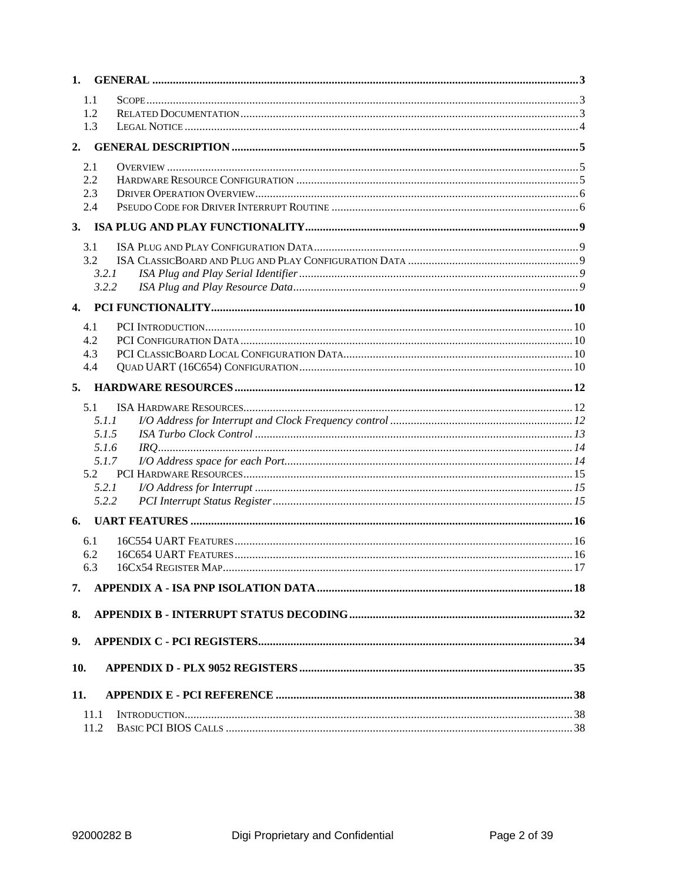| 1.           |                |  |
|--------------|----------------|--|
|              | 1.1            |  |
|              | 1.2            |  |
|              | 1.3            |  |
| 2.           |                |  |
|              | 2.1            |  |
|              | 2.2            |  |
|              | 2.3            |  |
|              | 2.4            |  |
| 3.           |                |  |
|              | 3.1            |  |
|              | 3.2            |  |
|              | 3.2.1<br>3.2.2 |  |
|              |                |  |
| $\mathbf{4}$ |                |  |
|              | 4.1            |  |
|              | 4.2            |  |
|              | 4.3            |  |
|              | 4.4            |  |
| 5.           |                |  |
|              | 5.1            |  |
|              | 5.1.1          |  |
|              | 5.1.5          |  |
|              | 5.1.6          |  |
|              | 5.1.7<br>5.2   |  |
|              | 5.2.1          |  |
|              | 5.2.2          |  |
|              |                |  |
| 6.           |                |  |
|              | 6.1            |  |
|              | 6.2            |  |
|              | 6.3            |  |
| 7.           |                |  |
| 8.           |                |  |
| 9.           |                |  |
| 10.          |                |  |
| 11.          |                |  |
|              |                |  |
|              | 11.1<br>11.2   |  |
|              |                |  |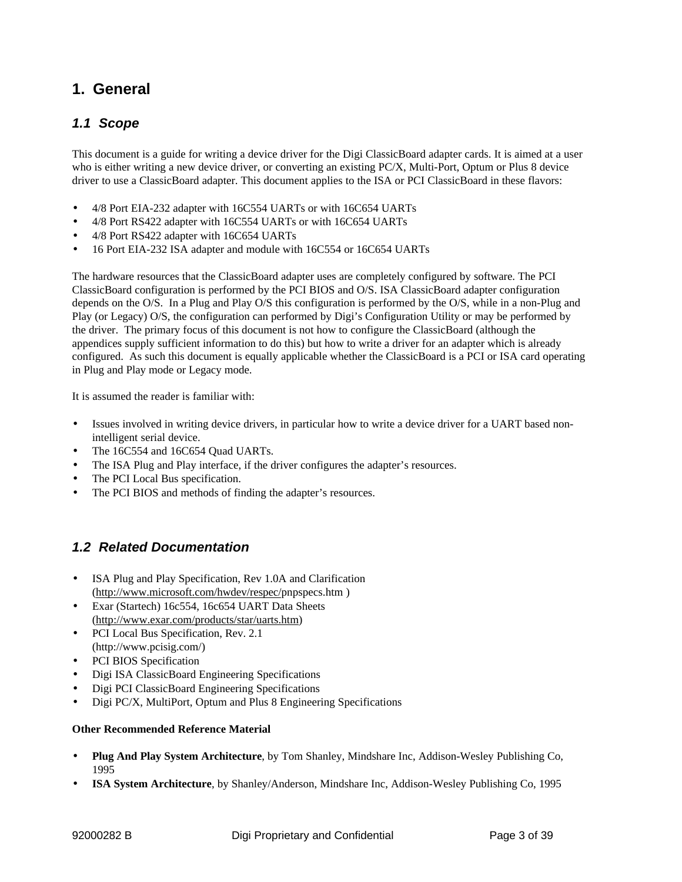# **1. General**

### *1.1 Scope*

This document is a guide for writing a device driver for the Digi ClassicBoard adapter cards. It is aimed at a user who is either writing a new device driver, or converting an existing PC/X, Multi-Port, Optum or Plus 8 device driver to use a ClassicBoard adapter. This document applies to the ISA or PCI ClassicBoard in these flavors:

- 4/8 Port EIA-232 adapter with 16C554 UARTs or with 16C654 UARTs
- 4/8 Port RS422 adapter with 16C554 UARTs or with 16C654 UARTs
- 4/8 Port RS422 adapter with 16C654 UARTs
- 16 Port EIA-232 ISA adapter and module with 16C554 or 16C654 UARTs

The hardware resources that the ClassicBoard adapter uses are completely configured by software. The PCI ClassicBoard configuration is performed by the PCI BIOS and O/S. ISA ClassicBoard adapter configuration depends on the O/S. In a Plug and Play O/S this configuration is performed by the O/S, while in a non-Plug and Play (or Legacy) O/S, the configuration can performed by Digi's Configuration Utility or may be performed by the driver. The primary focus of this document is not how to configure the ClassicBoard (although the appendices supply sufficient information to do this) but how to write a driver for an adapter which is already configured. As such this document is equally applicable whether the ClassicBoard is a PCI or ISA card operating in Plug and Play mode or Legacy mode.

It is assumed the reader is familiar with:

- Issues involved in writing device drivers, in particular how to write a device driver for a UART based nonintelligent serial device.
- The 16C554 and 16C654 Quad UARTs.
- The ISA Plug and Play interface, if the driver configures the adapter's resources.
- The PCI Local Bus specification.
- The PCI BIOS and methods of finding the adapter's resources.

## *1.2 Related Documentation*

- ISA Plug and Play Specification, Rev 1.0A and Clarification (http://www.microsoft.com/hwdev/respec/pnpspecs.htm )
- Exar (Startech) 16c554, 16c654 UART Data Sheets (http://www.exar.com/products/star/uarts.htm)
- PCI Local Bus Specification, Rev. 2.1 (http://www.pcisig.com/)
- PCI BIOS Specification
- Digi ISA ClassicBoard Engineering Specifications
- Digi PCI ClassicBoard Engineering Specifications
- Digi PC/X, MultiPort, Optum and Plus 8 Engineering Specifications

#### **Other Recommended Reference Material**

- **Plug And Play System Architecture**, by Tom Shanley, Mindshare Inc, Addison-Wesley Publishing Co, 1995
- **ISA System Architecture**, by Shanley/Anderson, Mindshare Inc, Addison-Wesley Publishing Co, 1995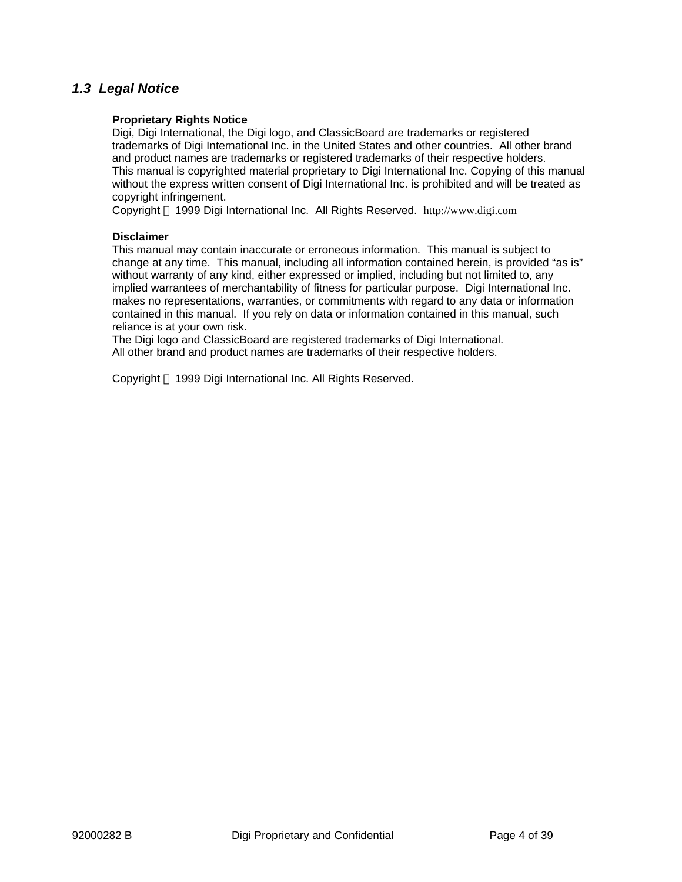### *1.3 Legal Notice*

#### **Proprietary Rights Notice**

Digi, Digi International, the Digi logo, and ClassicBoard are trademarks or registered trademarks of Digi International Inc. in the United States and other countries. All other brand and product names are trademarks or registered trademarks of their respective holders. This manual is copyrighted material proprietary to Digi International Inc. Copying of this manual without the express written consent of Digi International Inc. is prohibited and will be treated as copyright infringement.

Copyright © 1999 Digi International Inc. All Rights Reserved. http://www.digi.com

#### **Disclaimer**

This manual may contain inaccurate or erroneous information. This manual is subject to change at any time. This manual, including all information contained herein, is provided "as is" without warranty of any kind, either expressed or implied, including but not limited to, any implied warrantees of merchantability of fitness for particular purpose. Digi International Inc. makes no representations, warranties, or commitments with regard to any data or information contained in this manual. If you rely on data or information contained in this manual, such reliance is at your own risk.

The Digi logo and ClassicBoard are registered trademarks of Digi International. All other brand and product names are trademarks of their respective holders.

Copyright © 1999 Digi International Inc. All Rights Reserved.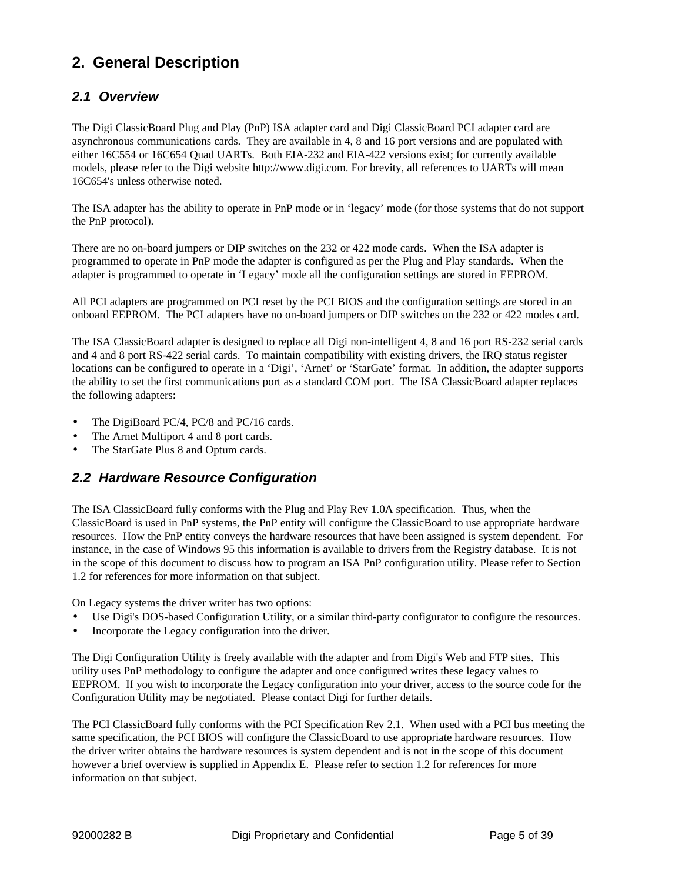# **2. General Description**

### *2.1 Overview*

The Digi ClassicBoard Plug and Play (PnP) ISA adapter card and Digi ClassicBoard PCI adapter card are asynchronous communications cards. They are available in 4, 8 and 16 port versions and are populated with either 16C554 or 16C654 Quad UARTs. Both EIA-232 and EIA-422 versions exist; for currently available models, please refer to the Digi website http://www.digi.com. For brevity, all references to UARTs will mean 16C654's unless otherwise noted.

The ISA adapter has the ability to operate in PnP mode or in 'legacy' mode (for those systems that do not support the PnP protocol).

There are no on-board jumpers or DIP switches on the 232 or 422 mode cards. When the ISA adapter is programmed to operate in PnP mode the adapter is configured as per the Plug and Play standards. When the adapter is programmed to operate in 'Legacy' mode all the configuration settings are stored in EEPROM.

All PCI adapters are programmed on PCI reset by the PCI BIOS and the configuration settings are stored in an onboard EEPROM. The PCI adapters have no on-board jumpers or DIP switches on the 232 or 422 modes card.

The ISA ClassicBoard adapter is designed to replace all Digi non-intelligent 4, 8 and 16 port RS-232 serial cards and 4 and 8 port RS-422 serial cards. To maintain compatibility with existing drivers, the IRQ status register locations can be configured to operate in a 'Digi', 'Arnet' or 'StarGate' format. In addition, the adapter supports the ability to set the first communications port as a standard COM port. The ISA ClassicBoard adapter replaces the following adapters:

- The DigiBoard PC/4, PC/8 and PC/16 cards.
- The Arnet Multiport 4 and 8 port cards.
- The StarGate Plus 8 and Optum cards.

### *2.2 Hardware Resource Configuration*

The ISA ClassicBoard fully conforms with the Plug and Play Rev 1.0A specification. Thus, when the ClassicBoard is used in PnP systems, the PnP entity will configure the ClassicBoard to use appropriate hardware resources. How the PnP entity conveys the hardware resources that have been assigned is system dependent. For instance, in the case of Windows 95 this information is available to drivers from the Registry database. It is not in the scope of this document to discuss how to program an ISA PnP configuration utility. Please refer to Section 1.2 for references for more information on that subject.

On Legacy systems the driver writer has two options:

- Use Digi's DOS-based Configuration Utility, or a similar third-party configurator to configure the resources.
- Incorporate the Legacy configuration into the driver.

The Digi Configuration Utility is freely available with the adapter and from Digi's Web and FTP sites. This utility uses PnP methodology to configure the adapter and once configured writes these legacy values to EEPROM. If you wish to incorporate the Legacy configuration into your driver, access to the source code for the Configuration Utility may be negotiated. Please contact Digi for further details.

The PCI ClassicBoard fully conforms with the PCI Specification Rev 2.1. When used with a PCI bus meeting the same specification, the PCI BIOS will configure the ClassicBoard to use appropriate hardware resources. How the driver writer obtains the hardware resources is system dependent and is not in the scope of this document however a brief overview is supplied in Appendix E. Please refer to section 1.2 for references for more information on that subject.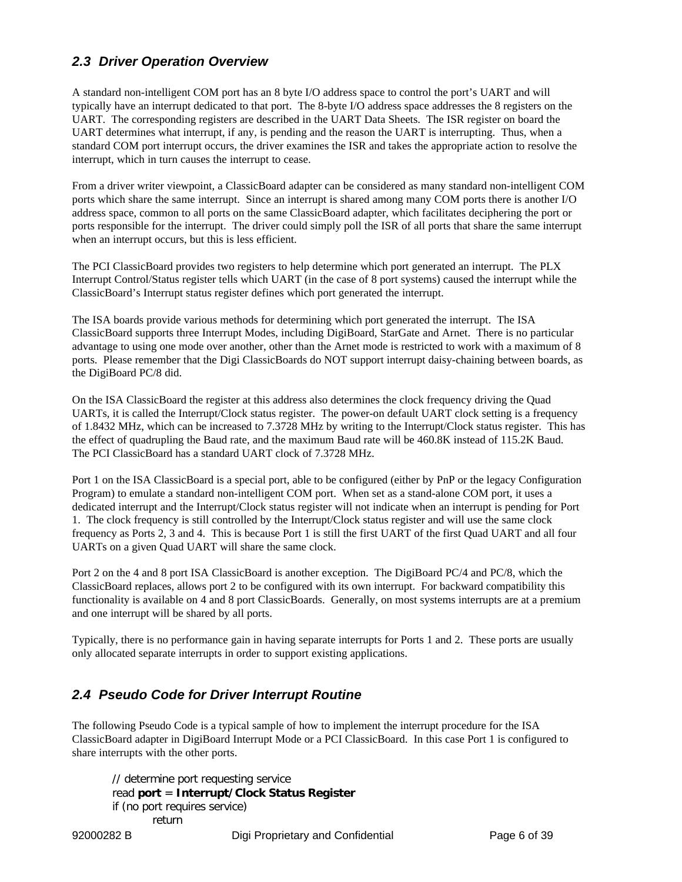## *2.3 Driver Operation Overview*

A standard non-intelligent COM port has an 8 byte I/O address space to control the port's UART and will typically have an interrupt dedicated to that port. The 8-byte I/O address space addresses the 8 registers on the UART. The corresponding registers are described in the UART Data Sheets. The ISR register on board the UART determines what interrupt, if any, is pending and the reason the UART is interrupting. Thus, when a standard COM port interrupt occurs, the driver examines the ISR and takes the appropriate action to resolve the interrupt, which in turn causes the interrupt to cease.

From a driver writer viewpoint, a ClassicBoard adapter can be considered as many standard non-intelligent COM ports which share the same interrupt. Since an interrupt is shared among many COM ports there is another I/O address space, common to all ports on the same ClassicBoard adapter, which facilitates deciphering the port or ports responsible for the interrupt. The driver could simply poll the ISR of all ports that share the same interrupt when an interrupt occurs, but this is less efficient.

The PCI ClassicBoard provides two registers to help determine which port generated an interrupt. The PLX Interrupt Control/Status register tells which UART (in the case of 8 port systems) caused the interrupt while the ClassicBoard's Interrupt status register defines which port generated the interrupt.

The ISA boards provide various methods for determining which port generated the interrupt. The ISA ClassicBoard supports three Interrupt Modes, including DigiBoard, StarGate and Arnet. There is no particular advantage to using one mode over another, other than the Arnet mode is restricted to work with a maximum of 8 ports. Please remember that the Digi ClassicBoards do NOT support interrupt daisy-chaining between boards, as the DigiBoard PC/8 did.

On the ISA ClassicBoard the register at this address also determines the clock frequency driving the Quad UARTs, it is called the Interrupt/Clock status register. The power-on default UART clock setting is a frequency of 1.8432 MHz, which can be increased to 7.3728 MHz by writing to the Interrupt/Clock status register. This has the effect of quadrupling the Baud rate, and the maximum Baud rate will be 460.8K instead of 115.2K Baud. The PCI ClassicBoard has a standard UART clock of 7.3728 MHz.

Port 1 on the ISA ClassicBoard is a special port, able to be configured (either by PnP or the legacy Configuration Program) to emulate a standard non-intelligent COM port. When set as a stand-alone COM port, it uses a dedicated interrupt and the Interrupt/Clock status register will not indicate when an interrupt is pending for Port 1. The clock frequency is still controlled by the Interrupt/Clock status register and will use the same clock frequency as Ports 2, 3 and 4. This is because Port 1 is still the first UART of the first Quad UART and all four UARTs on a given Quad UART will share the same clock.

Port 2 on the 4 and 8 port ISA ClassicBoard is another exception. The DigiBoard PC/4 and PC/8, which the ClassicBoard replaces, allows port 2 to be configured with its own interrupt. For backward compatibility this functionality is available on 4 and 8 port ClassicBoards. Generally, on most systems interrupts are at a premium and one interrupt will be shared by all ports.

Typically, there is no performance gain in having separate interrupts for Ports 1 and 2. These ports are usually only allocated separate interrupts in order to support existing applications.

### *2.4 Pseudo Code for Driver Interrupt Routine*

The following Pseudo Code is a typical sample of how to implement the interrupt procedure for the ISA ClassicBoard adapter in DigiBoard Interrupt Mode or a PCI ClassicBoard. In this case Port 1 is configured to share interrupts with the other ports.

// determine port requesting service read **port** = **Interrupt/Clock Status Register** if (no port requires service) return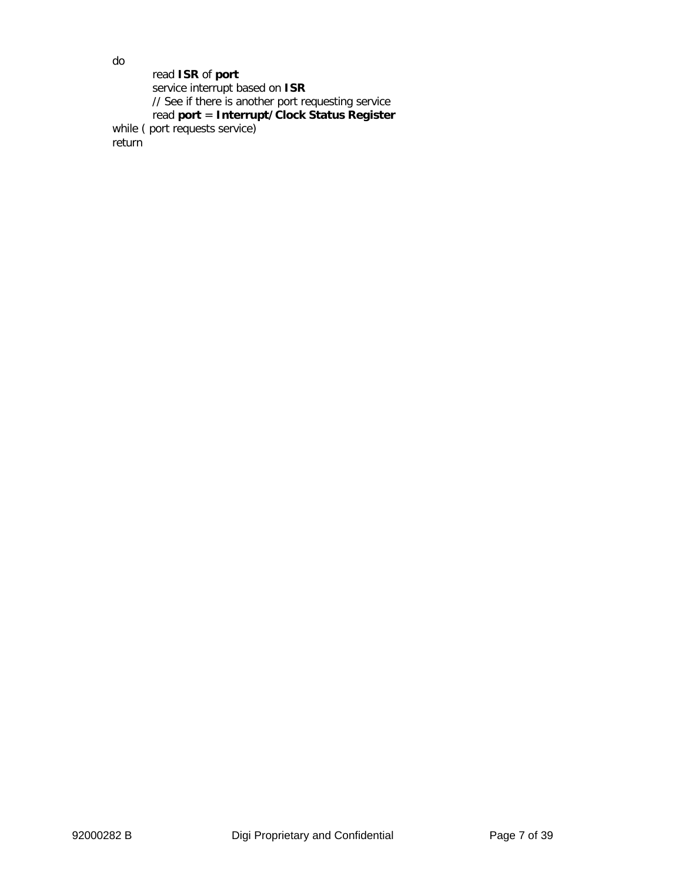read **ISR** of **port** service interrupt based on **ISR** // See if there is another port requesting service read **port** = **Interrupt/Clock Status Register** while ( port requests service) return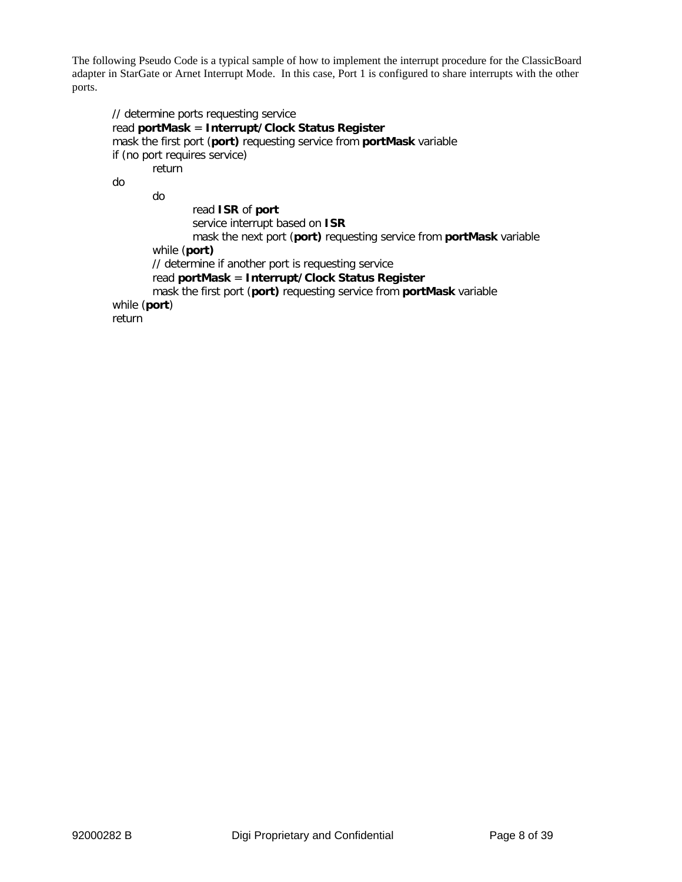The following Pseudo Code is a typical sample of how to implement the interrupt procedure for the ClassicBoard adapter in StarGate or Arnet Interrupt Mode. In this case, Port 1 is configured to share interrupts with the other ports.

```
// determine ports requesting service
read portMask = Interrupt/Clock Status Register
mask the first port (port) requesting service from portMask variable
if (no port requires service)
       return
do
       do
               read ISR of port
               service interrupt based on ISR
               mask the next port (port) requesting service from portMask variable
       while (port)
       // determine if another port is requesting service
       read portMask = Interrupt/Clock Status Register
       mask the first port (port) requesting service from portMask variable
while (port)
return
```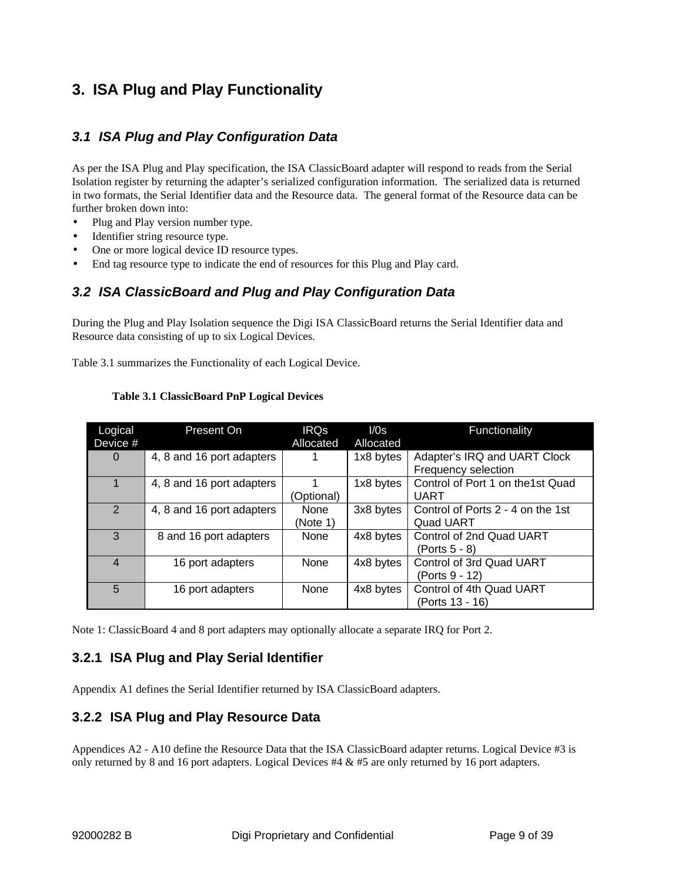# **3. ISA Plug and Play Functionality**

### *3.1 ISA Plug and Play Configuration Data*

As per the ISA Plug and Play specification, the ISA ClassicBoard adapter will respond to reads from the Serial Isolation register by returning the adapter's serialized configuration information. The serialized data is returned in two formats, the Serial Identifier data and the Resource data. The general format of the Resource data can be further broken down into:

- Plug and Play version number type.
- Identifier string resource type.
- One or more logical device ID resource types.
- End tag resource type to indicate the end of resources for this Plug and Play card.

### *3.2 ISA ClassicBoard and Plug and Play Configuration Data*

During the Plug and Play Isolation sequence the Digi ISA ClassicBoard returns the Serial Identifier data and Resource data consisting of up to six Logical Devices.

Table 3.1 summarizes the Functionality of each Logical Device.

| Logical<br>Device # | Present On                | <b>IRQs</b><br>Allocated | I/Os<br>Allocated | Functionality                                         |
|---------------------|---------------------------|--------------------------|-------------------|-------------------------------------------------------|
| $\Omega$            | 4, 8 and 16 port adapters |                          | 1x8 bytes         | Adapter's IRQ and UART Clock<br>Frequency selection   |
|                     | 4, 8 and 16 port adapters | (Optional)               | 1x8 bytes         | Control of Port 1 on the1st Quad<br>UART              |
| $\overline{2}$      | 4, 8 and 16 port adapters | None<br>(Note 1)         | 3x8 bytes         | Control of Ports 2 - 4 on the 1st<br><b>Quad UART</b> |
| 3                   | 8 and 16 port adapters    | None                     | 4x8 bytes         | Control of 2nd Quad UART<br>(Ports 5 - 8)             |
| 4                   | 16 port adapters          | None                     | 4x8 bytes         | Control of 3rd Quad UART<br>(Ports 9 - 12)            |
| 5                   | 16 port adapters          | None                     | 4x8 bytes         | Control of 4th Quad UART<br>(Ports 13 - 16)           |

#### **Table 3.1 ClassicBoard PnP Logical Devices**

Note 1: ClassicBoard 4 and 8 port adapters may optionally allocate a separate IRQ for Port 2.

### **3.2.1 ISA Plug and Play Serial Identifier**

Appendix A1 defines the Serial Identifier returned by ISA ClassicBoard adapters.

### **3.2.2 ISA Plug and Play Resource Data**

Appendices A2 - A10 define the Resource Data that the ISA ClassicBoard adapter returns. Logical Device #3 is only returned by 8 and 16 port adapters. Logical Devices #4 & #5 are only returned by 16 port adapters.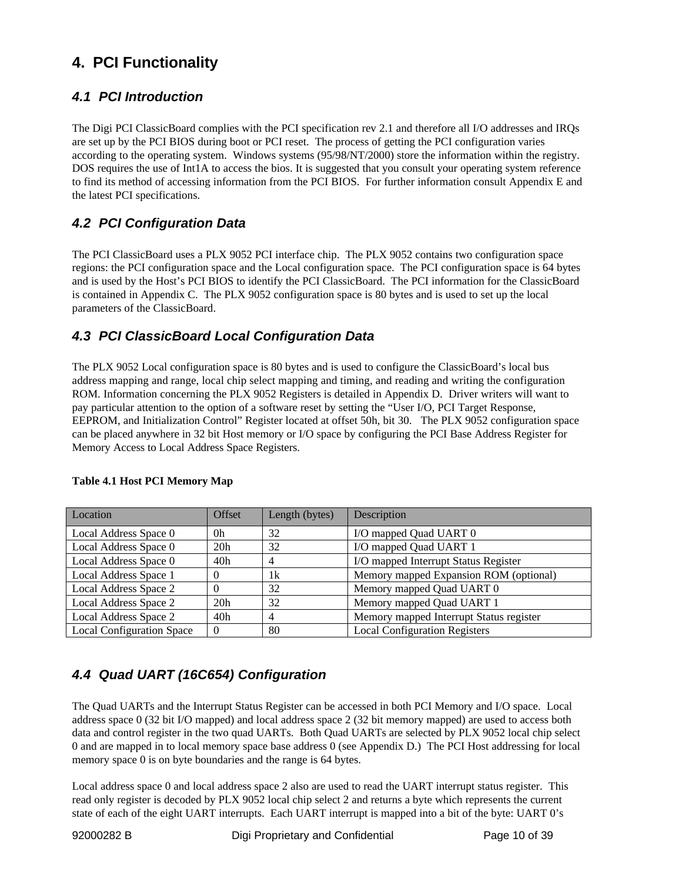# **4. PCI Functionality**

## *4.1 PCI Introduction*

The Digi PCI ClassicBoard complies with the PCI specification rev 2.1 and therefore all I/O addresses and IRQs are set up by the PCI BIOS during boot or PCI reset. The process of getting the PCI configuration varies according to the operating system. Windows systems (95/98/NT/2000) store the information within the registry. DOS requires the use of Int1A to access the bios. It is suggested that you consult your operating system reference to find its method of accessing information from the PCI BIOS. For further information consult Appendix E and the latest PCI specifications.

# *4.2 PCI Configuration Data*

The PCI ClassicBoard uses a PLX 9052 PCI interface chip. The PLX 9052 contains two configuration space regions: the PCI configuration space and the Local configuration space. The PCI configuration space is 64 bytes and is used by the Host's PCI BIOS to identify the PCI ClassicBoard. The PCI information for the ClassicBoard is contained in Appendix C. The PLX 9052 configuration space is 80 bytes and is used to set up the local parameters of the ClassicBoard.

# *4.3 PCI ClassicBoard Local Configuration Data*

The PLX 9052 Local configuration space is 80 bytes and is used to configure the ClassicBoard's local bus address mapping and range, local chip select mapping and timing, and reading and writing the configuration ROM. Information concerning the PLX 9052 Registers is detailed in Appendix D. Driver writers will want to pay particular attention to the option of a software reset by setting the "User I/O, PCI Target Response, EEPROM, and Initialization Control" Register located at offset 50h, bit 30. The PLX 9052 configuration space can be placed anywhere in 32 bit Host memory or I/O space by configuring the PCI Base Address Register for Memory Access to Local Address Space Registers.

| Location                         | Offset          | Length (bytes) | Description                             |
|----------------------------------|-----------------|----------------|-----------------------------------------|
| Local Address Space 0            | 0 <sup>h</sup>  | 32             | I/O mapped Quad UART 0                  |
| Local Address Space 0            | 20h             | 32             | I/O mapped Quad UART 1                  |
| Local Address Space 0            | 40h             |                | I/O mapped Interrupt Status Register    |
| Local Address Space 1            |                 | 1k             | Memory mapped Expansion ROM (optional)  |
| Local Address Space 2            |                 | 32             | Memory mapped Quad UART 0               |
| Local Address Space 2            | 20h             | 32             | Memory mapped Quad UART 1               |
| Local Address Space 2            | 40 <sub>h</sub> |                | Memory mapped Interrupt Status register |
| <b>Local Configuration Space</b> |                 | 80             | <b>Local Configuration Registers</b>    |

### **Table 4.1 Host PCI Memory Map**

# *4.4 Quad UART (16C654) Configuration*

The Quad UARTs and the Interrupt Status Register can be accessed in both PCI Memory and I/O space. Local address space 0 (32 bit I/O mapped) and local address space 2 (32 bit memory mapped) are used to access both data and control register in the two quad UARTs. Both Quad UARTs are selected by PLX 9052 local chip select 0 and are mapped in to local memory space base address 0 (see Appendix D.) The PCI Host addressing for local memory space 0 is on byte boundaries and the range is 64 bytes.

Local address space 0 and local address space 2 also are used to read the UART interrupt status register. This read only register is decoded by PLX 9052 local chip select 2 and returns a byte which represents the current state of each of the eight UART interrupts. Each UART interrupt is mapped into a bit of the byte: UART 0's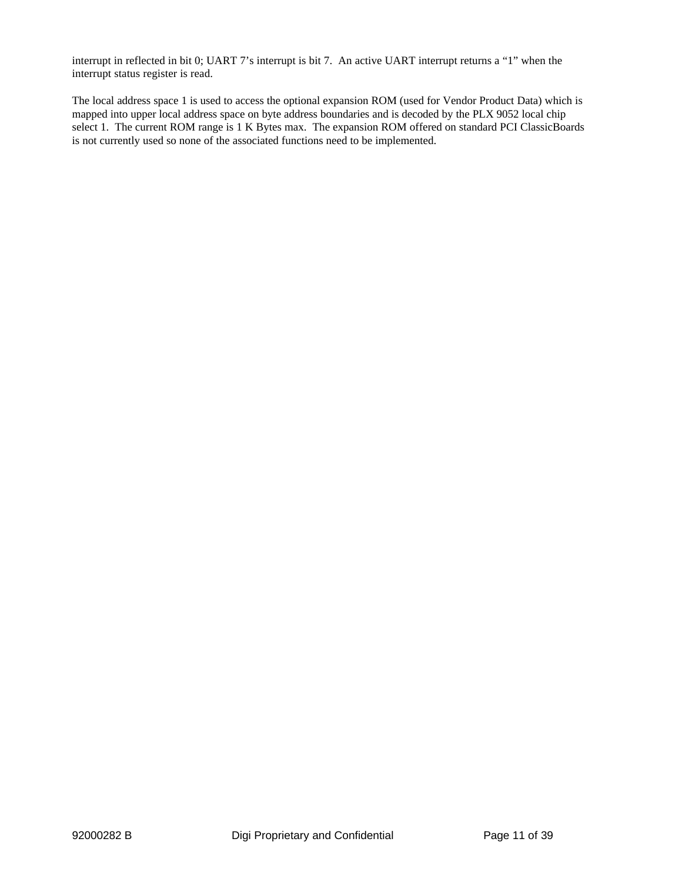interrupt in reflected in bit 0; UART 7's interrupt is bit 7. An active UART interrupt returns a "1" when the interrupt status register is read.

The local address space 1 is used to access the optional expansion ROM (used for Vendor Product Data) which is mapped into upper local address space on byte address boundaries and is decoded by the PLX 9052 local chip select 1. The current ROM range is 1 K Bytes max. The expansion ROM offered on standard PCI ClassicBoards is not currently used so none of the associated functions need to be implemented.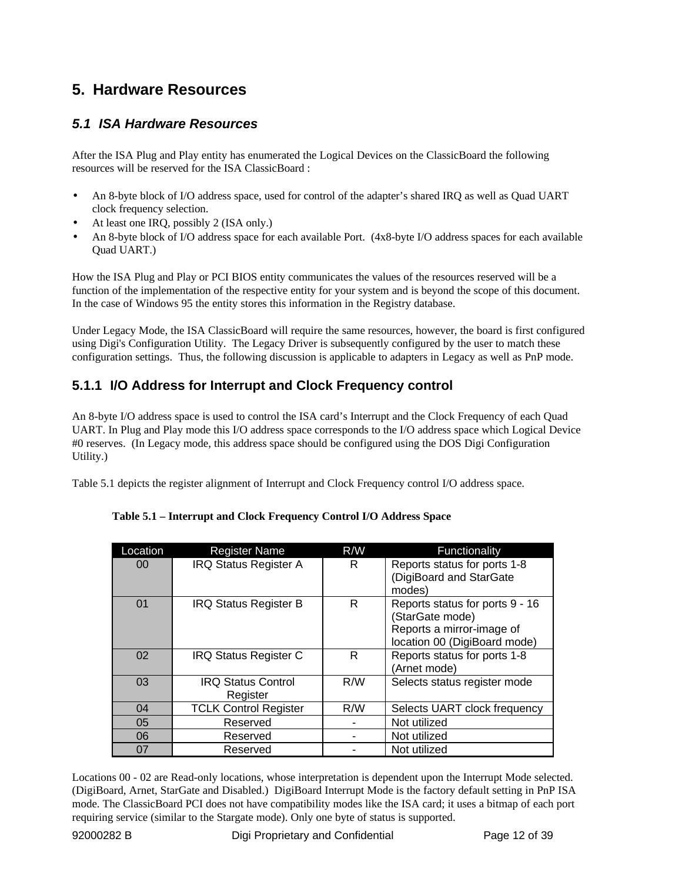# **5. Hardware Resources**

### *5.1 ISA Hardware Resources*

After the ISA Plug and Play entity has enumerated the Logical Devices on the ClassicBoard the following resources will be reserved for the ISA ClassicBoard :

- An 8-byte block of I/O address space, used for control of the adapter's shared IRQ as well as Quad UART clock frequency selection.
- At least one IRQ, possibly 2 (ISA only.)
- An 8-byte block of I/O address space for each available Port. (4x8-byte I/O address spaces for each available Quad UART.)

How the ISA Plug and Play or PCI BIOS entity communicates the values of the resources reserved will be a function of the implementation of the respective entity for your system and is beyond the scope of this document. In the case of Windows 95 the entity stores this information in the Registry database.

Under Legacy Mode, the ISA ClassicBoard will require the same resources, however, the board is first configured using Digi's Configuration Utility. The Legacy Driver is subsequently configured by the user to match these configuration settings. Thus, the following discussion is applicable to adapters in Legacy as well as PnP mode.

# **5.1.1 I/O Address for Interrupt and Clock Frequency control**

An 8-byte I/O address space is used to control the ISA card's Interrupt and the Clock Frequency of each Quad UART. In Plug and Play mode this I/O address space corresponds to the I/O address space which Logical Device #0 reserves. (In Legacy mode, this address space should be configured using the DOS Digi Configuration Utility.)

Table 5.1 depicts the register alignment of Interrupt and Clock Frequency control I/O address space.

| Location | <b>Register Name</b>                  | R/W | Functionality                                                                                                   |
|----------|---------------------------------------|-----|-----------------------------------------------------------------------------------------------------------------|
| 00       | <b>IRQ Status Register A</b>          | R   | Reports status for ports 1-8<br>(DigiBoard and StarGate<br>modes)                                               |
| 01       | <b>IRQ Status Register B</b>          | R   | Reports status for ports 9 - 16<br>(StarGate mode)<br>Reports a mirror-image of<br>location 00 (DigiBoard mode) |
| 02       | <b>IRQ Status Register C</b>          | R   | Reports status for ports 1-8<br>(Arnet mode)                                                                    |
| 03       | <b>IRQ Status Control</b><br>Register | R/W | Selects status register mode                                                                                    |
| 04       | <b>TCLK Control Register</b>          | R/W | Selects UART clock frequency                                                                                    |
| 05       | Reserved                              |     | Not utilized                                                                                                    |
| 06       | Reserved                              |     | Not utilized                                                                                                    |
| 07       | Reserved                              |     | Not utilized                                                                                                    |

#### **Table 5.1 – Interrupt and Clock Frequency Control I/O Address Space**

Locations 00 - 02 are Read-only locations, whose interpretation is dependent upon the Interrupt Mode selected. (DigiBoard, Arnet, StarGate and Disabled.) DigiBoard Interrupt Mode is the factory default setting in PnP ISA mode. The ClassicBoard PCI does not have compatibility modes like the ISA card; it uses a bitmap of each port requiring service (similar to the Stargate mode). Only one byte of status is supported.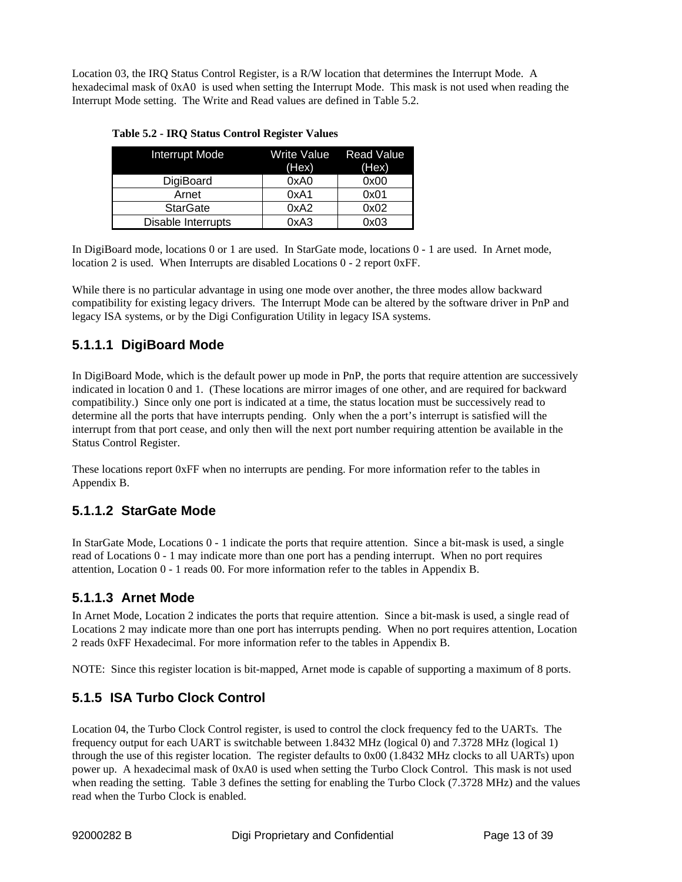Location 03, the IRQ Status Control Register, is a R/W location that determines the Interrupt Mode. A hexadecimal mask of 0xA0 is used when setting the Interrupt Mode. This mask is not used when reading the Interrupt Mode setting. The Write and Read values are defined in Table 5.2.

| <b>Interrupt Mode</b> | Write Value<br>(Hex) | <b>Read Value</b><br>(Hex) |  |  |  |
|-----------------------|----------------------|----------------------------|--|--|--|
| DigiBoard             | 0xA0                 | 0x00                       |  |  |  |
| Arnet                 | 0xA1                 | 0x01                       |  |  |  |
| <b>StarGate</b>       | 0xA2                 | 0x02                       |  |  |  |
| Disable Interrupts    | 0xA3                 | 0x03                       |  |  |  |

| <b>Table 5.2 - IRQ Status Control Register Values</b> |  |  |  |
|-------------------------------------------------------|--|--|--|
|                                                       |  |  |  |

In DigiBoard mode, locations 0 or 1 are used. In StarGate mode, locations 0 - 1 are used. In Arnet mode, location 2 is used. When Interrupts are disabled Locations 0 - 2 report 0xFF.

While there is no particular advantage in using one mode over another, the three modes allow backward compatibility for existing legacy drivers. The Interrupt Mode can be altered by the software driver in PnP and legacy ISA systems, or by the Digi Configuration Utility in legacy ISA systems.

## **5.1.1.1 DigiBoard Mode**

In DigiBoard Mode, which is the default power up mode in PnP, the ports that require attention are successively indicated in location 0 and 1. (These locations are mirror images of one other, and are required for backward compatibility.) Since only one port is indicated at a time, the status location must be successively read to determine all the ports that have interrupts pending. Only when the a port's interrupt is satisfied will the interrupt from that port cease, and only then will the next port number requiring attention be available in the Status Control Register.

These locations report 0xFF when no interrupts are pending. For more information refer to the tables in Appendix B.

## **5.1.1.2 StarGate Mode**

In StarGate Mode, Locations 0 - 1 indicate the ports that require attention. Since a bit-mask is used, a single read of Locations 0 - 1 may indicate more than one port has a pending interrupt. When no port requires attention, Location 0 - 1 reads 00. For more information refer to the tables in Appendix B.

## **5.1.1.3 Arnet Mode**

In Arnet Mode, Location 2 indicates the ports that require attention. Since a bit-mask is used, a single read of Locations 2 may indicate more than one port has interrupts pending. When no port requires attention, Location 2 reads 0xFF Hexadecimal. For more information refer to the tables in Appendix B.

NOTE: Since this register location is bit-mapped, Arnet mode is capable of supporting a maximum of 8 ports.

# **5.1.5 ISA Turbo Clock Control**

Location 04, the Turbo Clock Control register, is used to control the clock frequency fed to the UARTs. The frequency output for each UART is switchable between 1.8432 MHz (logical 0) and 7.3728 MHz (logical 1) through the use of this register location. The register defaults to 0x00 (1.8432 MHz clocks to all UARTs) upon power up. A hexadecimal mask of 0xA0 is used when setting the Turbo Clock Control. This mask is not used when reading the setting. Table 3 defines the setting for enabling the Turbo Clock (7.3728 MHz) and the values read when the Turbo Clock is enabled.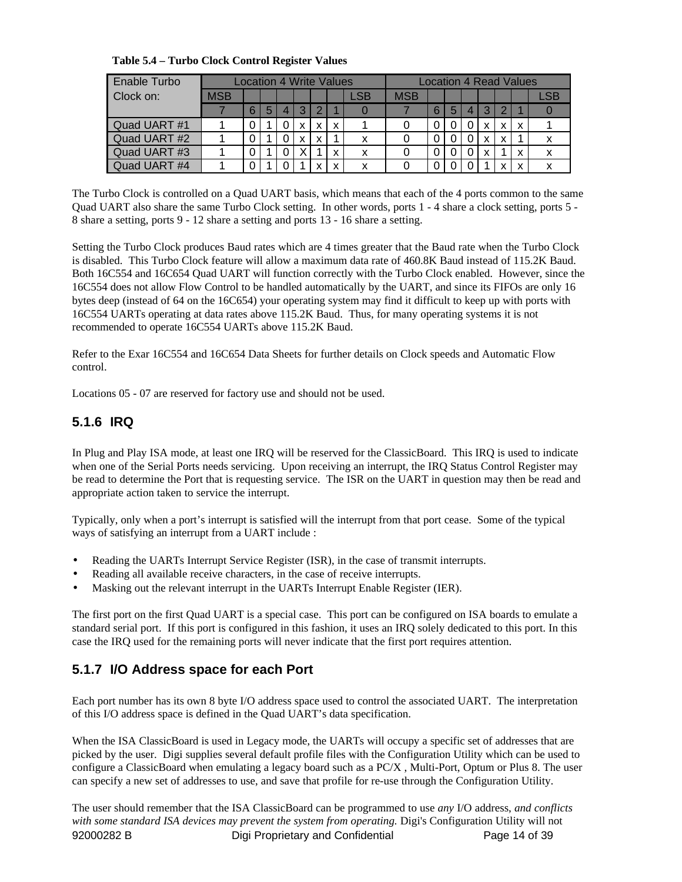| Enable Turbo |     | <b>Location 4 Write Values</b> |   |                |                |          |   |     | Location 4 Read Values |   |   |   |   |               |   |     |
|--------------|-----|--------------------------------|---|----------------|----------------|----------|---|-----|------------------------|---|---|---|---|---------------|---|-----|
| Clock on:    | MSB |                                |   |                |                |          |   | LSB | <b>MSB</b>             |   |   |   |   |               |   | LSB |
|              |     | 6                              | 5 | $\overline{4}$ | 3 <sup>1</sup> | $\Omega$ |   |     |                        | 6 | 5 | 4 | 3 | $\mathcal{P}$ |   |     |
| Quad UART #1 |     |                                |   |                | X.             | x        | X |     |                        |   | O |   | x | X             | X |     |
| Quad UART #2 |     |                                |   |                | x              | X        |   | x   |                        |   | O |   | X | X             |   |     |
| Quad UART #3 |     |                                |   |                |                |          | x | x   |                        |   | 0 |   | x |               | x | x   |
| Quad UART #4 |     |                                |   |                |                | x        | x | x   |                        |   |   |   |   | $\checkmark$  | x |     |

The Turbo Clock is controlled on a Quad UART basis, which means that each of the 4 ports common to the same Quad UART also share the same Turbo Clock setting. In other words, ports 1 - 4 share a clock setting, ports 5 - 8 share a setting, ports 9 - 12 share a setting and ports 13 - 16 share a setting.

Setting the Turbo Clock produces Baud rates which are 4 times greater that the Baud rate when the Turbo Clock is disabled. This Turbo Clock feature will allow a maximum data rate of 460.8K Baud instead of 115.2K Baud. Both 16C554 and 16C654 Quad UART will function correctly with the Turbo Clock enabled. However, since the 16C554 does not allow Flow Control to be handled automatically by the UART, and since its FIFOs are only 16 bytes deep (instead of 64 on the 16C654) your operating system may find it difficult to keep up with ports with 16C554 UARTs operating at data rates above 115.2K Baud. Thus, for many operating systems it is not recommended to operate 16C554 UARTs above 115.2K Baud.

Refer to the Exar 16C554 and 16C654 Data Sheets for further details on Clock speeds and Automatic Flow control.

Locations 05 - 07 are reserved for factory use and should not be used.

# **5.1.6 IRQ**

In Plug and Play ISA mode, at least one IRQ will be reserved for the ClassicBoard. This IRQ is used to indicate when one of the Serial Ports needs servicing. Upon receiving an interrupt, the IRQ Status Control Register may be read to determine the Port that is requesting service. The ISR on the UART in question may then be read and appropriate action taken to service the interrupt.

Typically, only when a port's interrupt is satisfied will the interrupt from that port cease. Some of the typical ways of satisfying an interrupt from a UART include :

- Reading the UARTs Interrupt Service Register (ISR), in the case of transmit interrupts.
- Reading all available receive characters, in the case of receive interrupts.
- Masking out the relevant interrupt in the UARTs Interrupt Enable Register (IER).

The first port on the first Quad UART is a special case. This port can be configured on ISA boards to emulate a standard serial port. If this port is configured in this fashion, it uses an IRQ solely dedicated to this port. In this case the IRQ used for the remaining ports will never indicate that the first port requires attention.

## **5.1.7 I/O Address space for each Port**

Each port number has its own 8 byte I/O address space used to control the associated UART. The interpretation of this I/O address space is defined in the Quad UART's data specification.

When the ISA ClassicBoard is used in Legacy mode, the UARTs will occupy a specific set of addresses that are picked by the user. Digi supplies several default profile files with the Configuration Utility which can be used to configure a ClassicBoard when emulating a legacy board such as a PC/X , Multi-Port, Optum or Plus 8. The user can specify a new set of addresses to use, and save that profile for re-use through the Configuration Utility.

92000282 B Digi Proprietary and Confidential Page 14 of 39 The user should remember that the ISA ClassicBoard can be programmed to use *any* I/O address, *and conflicts with some standard ISA devices may prevent the system from operating.* Digi's Configuration Utility will not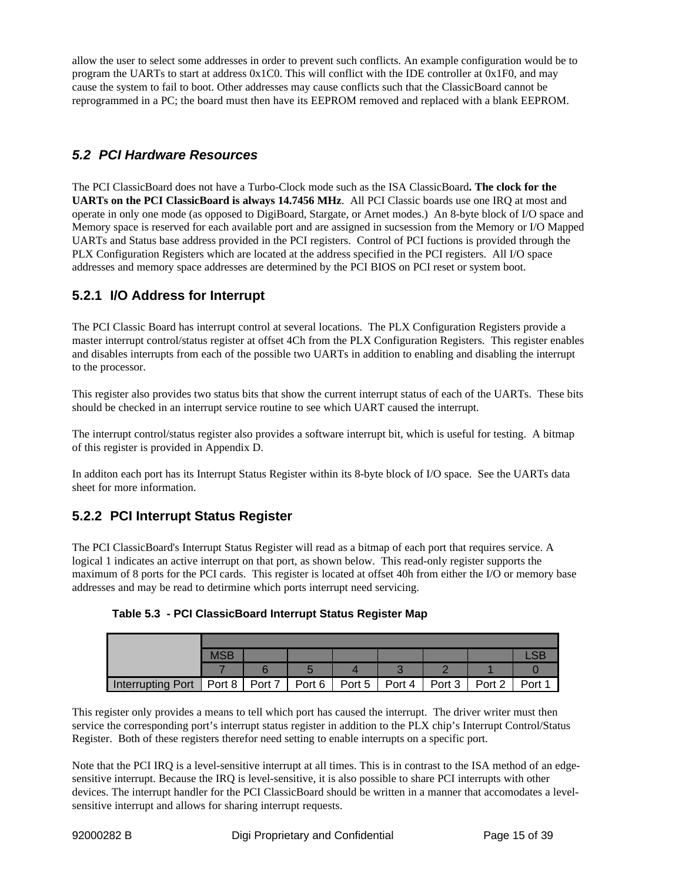allow the user to select some addresses in order to prevent such conflicts. An example configuration would be to program the UARTs to start at address 0x1C0. This will conflict with the IDE controller at 0x1F0, and may cause the system to fail to boot. Other addresses may cause conflicts such that the ClassicBoard cannot be reprogrammed in a PC; the board must then have its EEPROM removed and replaced with a blank EEPROM.

## *5.2 PCI Hardware Resources*

The PCI ClassicBoard does not have a Turbo-Clock mode such as the ISA ClassicBoard**. The clock for the UARTs on the PCI ClassicBoard is always 14.7456 MHz**. All PCI Classic boards use one IRQ at most and operate in only one mode (as opposed to DigiBoard, Stargate, or Arnet modes.) An 8-byte block of I/O space and Memory space is reserved for each available port and are assigned in sucsession from the Memory or I/O Mapped UARTs and Status base address provided in the PCI registers. Control of PCI fuctions is provided through the PLX Configuration Registers which are located at the address specified in the PCI registers. All I/O space addresses and memory space addresses are determined by the PCI BIOS on PCI reset or system boot.

## **5.2.1 I/O Address for Interrupt**

The PCI Classic Board has interrupt control at several locations. The PLX Configuration Registers provide a master interrupt control/status register at offset 4Ch from the PLX Configuration Registers. This register enables and disables interrupts from each of the possible two UARTs in addition to enabling and disabling the interrupt to the processor.

This register also provides two status bits that show the current interrupt status of each of the UARTs. These bits should be checked in an interrupt service routine to see which UART caused the interrupt.

The interrupt control/status register also provides a software interrupt bit, which is useful for testing. A bitmap of this register is provided in Appendix D.

In additon each port has its Interrupt Status Register within its 8-byte block of I/O space. See the UARTs data sheet for more information.

## **5.2.2 PCI Interrupt Status Register**

The PCI ClassicBoard's Interrupt Status Register will read as a bitmap of each port that requires service. A logical 1 indicates an active interrupt on that port, as shown below. This read-only register supports the maximum of 8 ports for the PCI cards. This register is located at offset 40h from either the I/O or memory base addresses and may be read to detirmine which ports interrupt need servicing.

**Table 5.3 - PCI ClassicBoard Interrupt Status Register Map**

| Interrupting Port   Port 8   Port 7   Port 6   Port 5   Port 4   Port 3 |  |  |  | Port 2 | Port 1 |
|-------------------------------------------------------------------------|--|--|--|--------|--------|

This register only provides a means to tell which port has caused the interrupt. The driver writer must then service the corresponding port's interrupt status register in addition to the PLX chip's Interrupt Control/Status Register. Both of these registers therefor need setting to enable interrupts on a specific port.

Note that the PCI IRQ is a level-sensitive interrupt at all times. This is in contrast to the ISA method of an edgesensitive interrupt. Because the IRQ is level-sensitive, it is also possible to share PCI interrupts with other devices. The interrupt handler for the PCI ClassicBoard should be written in a manner that accomodates a levelsensitive interrupt and allows for sharing interrupt requests.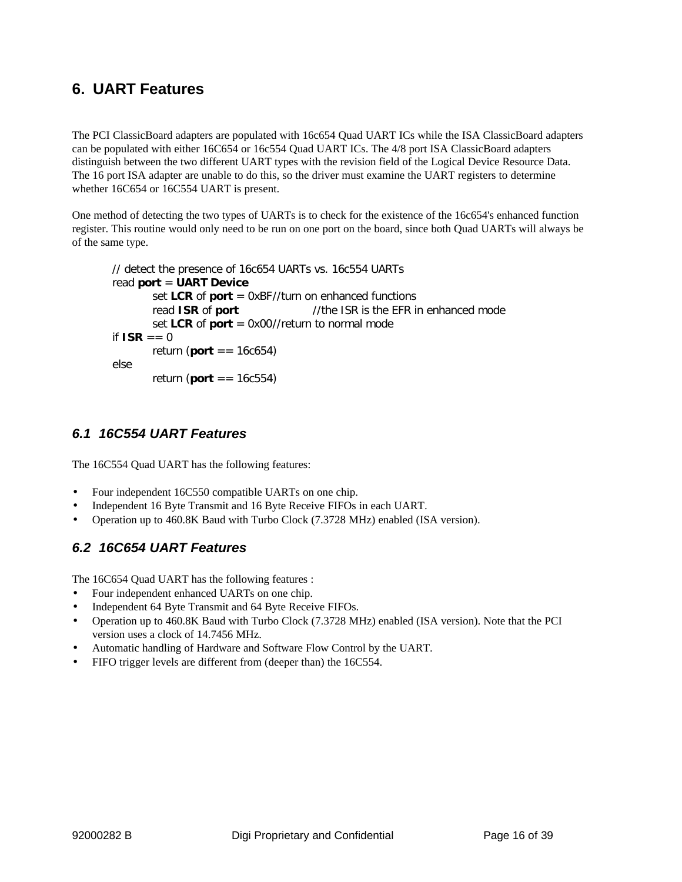# **6. UART Features**

The PCI ClassicBoard adapters are populated with 16c654 Quad UART ICs while the ISA ClassicBoard adapters can be populated with either 16C654 or 16c554 Quad UART ICs. The 4/8 port ISA ClassicBoard adapters distinguish between the two different UART types with the revision field of the Logical Device Resource Data. The 16 port ISA adapter are unable to do this, so the driver must examine the UART registers to determine whether 16C654 or 16C554 UART is present.

One method of detecting the two types of UARTs is to check for the existence of the 16c654's enhanced function register. This routine would only need to be run on one port on the board, since both Quad UARTs will always be of the same type.

```
// detect the presence of 16c654 UARTs vs. 16c554 UARTs
read port = UART Device
       set LCR of port = 0xBF//turn on enhanced functions
       read ISR of port //the ISR is the EFR in enhanced mode
       set LCR of port = 0x00//return to normal mode
if ISR == 0return (port == 16c654)
else
       return (port == 16c554)
```
### *6.1 16C554 UART Features*

The 16C554 Quad UART has the following features:

- Four independent 16C550 compatible UARTs on one chip.
- Independent 16 Byte Transmit and 16 Byte Receive FIFOs in each UART.
- Operation up to 460.8K Baud with Turbo Clock (7.3728 MHz) enabled (ISA version).

### *6.2 16C654 UART Features*

The 16C654 Quad UART has the following features :

- Four independent enhanced UARTs on one chip.
- Independent 64 Byte Transmit and 64 Byte Receive FIFOs.
- Operation up to 460.8K Baud with Turbo Clock (7.3728 MHz) enabled (ISA version). Note that the PCI version uses a clock of 14.7456 MHz.
- Automatic handling of Hardware and Software Flow Control by the UART.
- FIFO trigger levels are different from (deeper than) the 16C554.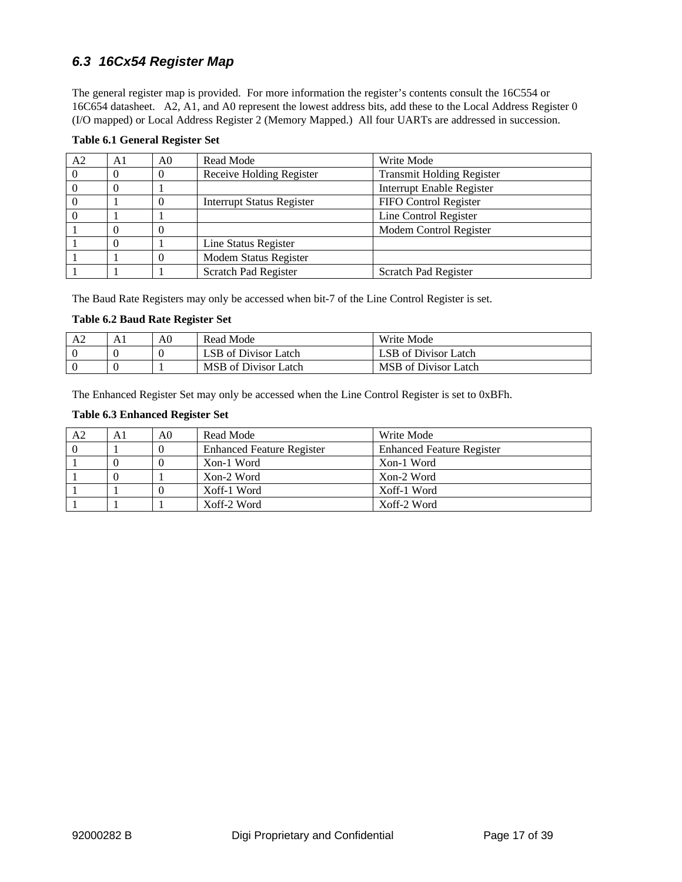## *6.3 16Cx54 Register Map*

The general register map is provided. For more information the register's contents consult the 16C554 or 16C654 datasheet. A2, A1, and A0 represent the lowest address bits, add these to the Local Address Register 0 (I/O mapped) or Local Address Register 2 (Memory Mapped.) All four UARTs are addressed in succession.

#### **Table 6.1 General Register Set**

| A <sub>2</sub> | A1       | A0       | Read Mode                        | Write Mode                       |
|----------------|----------|----------|----------------------------------|----------------------------------|
|                |          |          | Receive Holding Register         | <b>Transmit Holding Register</b> |
|                | 0        |          |                                  | <b>Interrupt Enable Register</b> |
|                |          | $\theta$ | <b>Interrupt Status Register</b> | FIFO Control Register            |
|                |          |          |                                  | Line Control Register            |
|                |          |          |                                  | Modem Control Register           |
|                | $\theta$ |          | Line Status Register             |                                  |
|                |          |          | Modem Status Register            |                                  |
|                |          |          | Scratch Pad Register             | Scratch Pad Register             |

The Baud Rate Registers may only be accessed when bit-7 of the Line Control Register is set.

#### **Table 6.2 Baud Rate Register Set**

| A <sup>2</sup> | A0 | Read Mode            | Write Mode                  |
|----------------|----|----------------------|-----------------------------|
|                |    | LSB of Divisor Latch | LSB of Divisor Latch        |
|                |    | MSB of Divisor Latch | <b>MSB</b> of Divisor Latch |

The Enhanced Register Set may only be accessed when the Line Control Register is set to 0xBFh.

#### **Table 6.3 Enhanced Register Set**

| A2 | A1 | A0 | Read Mode                        | Write Mode                       |
|----|----|----|----------------------------------|----------------------------------|
|    |    |    | <b>Enhanced Feature Register</b> | <b>Enhanced Feature Register</b> |
|    |    |    | Xon-1 Word                       | Xon-1 Word                       |
|    |    |    | Xon-2 Word                       | Xon-2 Word                       |
|    |    |    | Xoff-1 Word                      | Xoff-1 Word                      |
|    |    |    | Xoff-2 Word                      | Xoff-2 Word                      |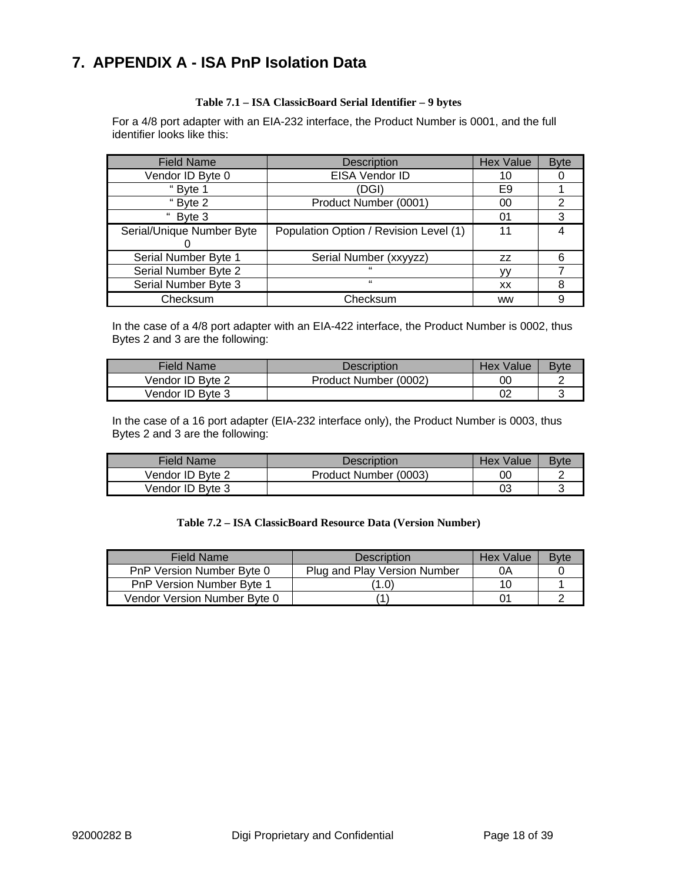# **7. APPENDIX A - ISA PnP Isolation Data**

#### **Table 7.1 – ISA ClassicBoard Serial Identifier – 9 bytes**

For a 4/8 port adapter with an EIA-232 interface, the Product Number is 0001, and the full identifier looks like this:

| <b>Field Name</b>         | <b>Description</b>                     | <b>Hex Value</b> | <b>Byte</b> |
|---------------------------|----------------------------------------|------------------|-------------|
| Vendor ID Byte 0          | EISA Vendor ID                         | 10               |             |
| "Byte 1                   | (DGI)                                  | E9               |             |
| "Byte 2                   | Product Number (0001)                  | 00               | 2           |
| " Byte 3                  |                                        | 01               | 3           |
| Serial/Unique Number Byte | Population Option / Revision Level (1) | 11               |             |
| Serial Number Byte 1      | Serial Number (xxyyzz)                 | ZZ               |             |
| Serial Number Byte 2      | $\epsilon$                             |                  |             |
| Serial Number Byte 3      | $\epsilon$                             | ХX               | 8           |
| Checksum                  | Checksum                               | <b>WW</b>        |             |

In the case of a 4/8 port adapter with an EIA-422 interface, the Product Number is 0002, thus Bytes 2 and 3 are the following:

| Field Name       | Description           | Hex Value | <b>Byte</b> |
|------------------|-----------------------|-----------|-------------|
| Vendor ID Byte 2 | Product Number (0002) | 00        |             |
| Vendor ID Byte 3 |                       | 02        |             |

In the case of a 16 port adapter (EIA-232 interface only), the Product Number is 0003, thus Bytes 2 and 3 are the following:

| Field Name       | Description           | <b>Hex Value</b> | <b>Byte</b> |
|------------------|-----------------------|------------------|-------------|
| Vendor ID Byte 2 | Product Number (0003) | 0C               |             |
| Vendor ID Byte 3 |                       | 03               |             |

#### **Table 7.2 – ISA ClassicBoard Resource Data (Version Number)**

| Field Name                   | Description                  | <b>Hex Value</b> | <b>B</b> vte |
|------------------------------|------------------------------|------------------|--------------|
| PnP Version Number Byte 0    | Plug and Play Version Number | 0Α               |              |
| PnP Version Number Byte 1    | 1.0)                         | 10               |              |
| Vendor Version Number Byte 0 |                              | 01               |              |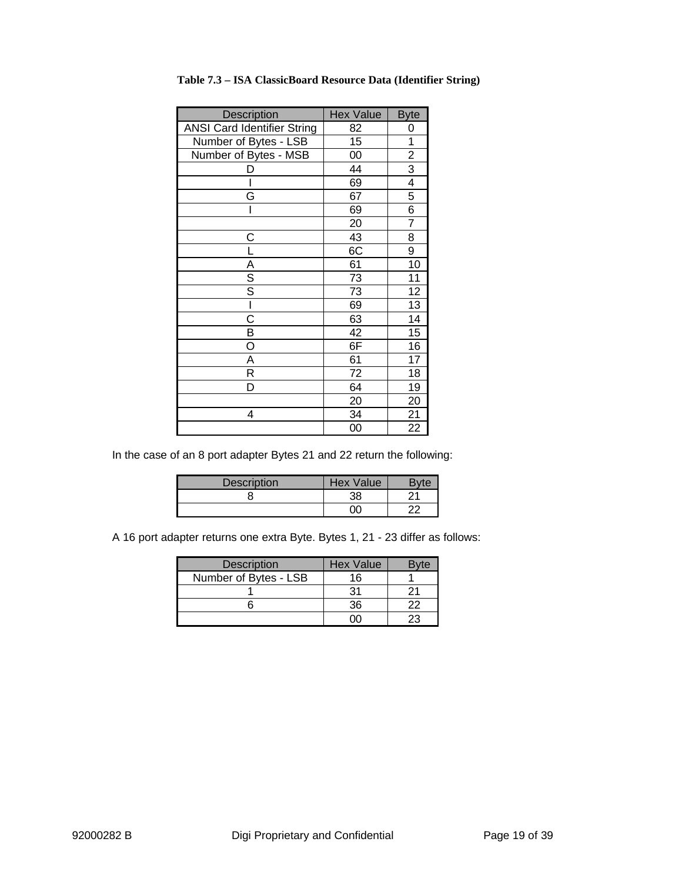| Description                        | <b>Hex Value</b> | <b>Byte</b>     |
|------------------------------------|------------------|-----------------|
| <b>ANSI Card Identifier String</b> | 82               | 0               |
| Number of Bytes - LSB              | 15               | 1               |
| Number of Bytes - MSB              | 00               | $\frac{2}{3}$   |
|                                    | 44               |                 |
|                                    | 69               | $\overline{4}$  |
| G                                  | 67               | 5               |
| ı                                  | 69               | 6               |
|                                    | 20               | 7               |
| С                                  | 43               | 8               |
|                                    | 6C               | $\overline{9}$  |
|                                    | 61               | 10              |
| $\frac{A}{S}$                      | 73               | 11              |
|                                    | 73               | 12              |
| I                                  | 69               | $\overline{13}$ |
| C                                  | 63               | 14              |
| B                                  | 42               | 15              |
| O                                  | 6F               | 16              |
| Α                                  | 61               | 17              |
| R                                  | 72               | 18              |
| D                                  | 64               | 19              |
|                                    | 20               | 20              |
| 4                                  | 34               | $\overline{21}$ |
|                                    | 00               | 22              |

| Table 7.3 - ISA ClassicBoard Resource Data (Identifier String) |  |  |  |  |  |
|----------------------------------------------------------------|--|--|--|--|--|
|----------------------------------------------------------------|--|--|--|--|--|

In the case of an 8 port adapter Bytes 21 and 22 return the following:

| <b>Description</b> | Hex Value |  |
|--------------------|-----------|--|
|                    | 38        |  |
|                    |           |  |

A 16 port adapter returns one extra Byte. Bytes 1, 21 - 23 differ as follows:

| <b>Description</b>    | <b>Hex Value</b> | "vte |
|-----------------------|------------------|------|
| Number of Bytes - LSB | 16               |      |
|                       | 21               |      |
|                       | 36               | つつ   |
|                       |                  |      |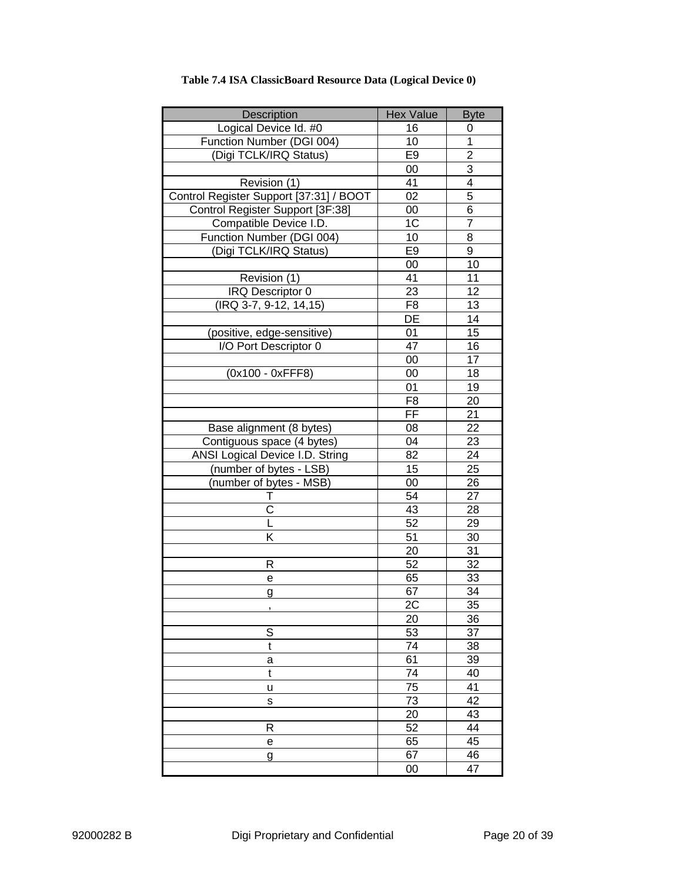| <b>Description</b>                      | <b>Hex Value</b> | <b>Byte</b>    |
|-----------------------------------------|------------------|----------------|
| Logical Device Id. #0                   | 16               | 0              |
| Function Number (DGI 004)               | 10               | $\overline{1}$ |
| (Digi TCLK/IRQ Status)                  | E <sub>9</sub>   | $\overline{2}$ |
|                                         | 00               | 3              |
| Revision (1)                            | 41               | 4              |
| Control Register Support [37:31] / BOOT | 02               | 5              |
| Control Register Support [3F:38]        | 00               | 6              |
| Compatible Device I.D.                  | 1 <sup>C</sup>   | $\overline{7}$ |
| Function Number (DGI 004)               | 10               | 8              |
| (Digi TCLK/IRQ Status)                  | E <sub>9</sub>   | 9              |
|                                         | 00               | 10             |
| Revision (1)                            | 41               | 11             |
| IRQ Descriptor 0                        | 23               | 12             |
| (IRQ 3-7, 9-12, 14,15)                  | F <sub>8</sub>   | 13             |
|                                         | DE               | 14             |
| (positive, edge-sensitive)              | 01               | 15             |
| I/O Port Descriptor 0                   | 47               | 16             |
|                                         | 00               | 17             |
| (0x100 - 0xFFF8)                        | 00               | 18             |
|                                         | 01               | 19             |
|                                         | F <sub>8</sub>   | 20             |
|                                         | FF               | 21             |
| Base alignment (8 bytes)                | 08               | 22             |
| Contiguous space (4 bytes)              | 04               | 23             |
| <b>ANSI Logical Device I.D. String</b>  | 82               | 24             |
| (number of bytes - LSB)                 | 15               | 25             |
| (number of bytes - MSB)                 | 00               | 26             |
| Ι.                                      | 54               | 27             |
| C                                       | 43               | 28             |
|                                         | 52               | 29             |
| K                                       | 51               | 30             |
|                                         | 20               | 31             |
| R                                       | 52               | 32             |
| e                                       | 65               | 33             |
| <u>g</u>                                | 67               | 34             |
|                                         | 2C               | 35             |
|                                         | 20               | 36             |
| S                                       | 53               | 37             |
| $\mathfrak t$                           | $\overline{74}$  | 38             |
| a                                       | 61               | 39             |
| t                                       | 74               | 40             |
| U                                       | 75               | 41             |
| s                                       | 73               | 42             |
|                                         | 20               | 43             |
| R                                       | 52               | 44             |
| е                                       | 65               | 45             |
| g                                       | 67               | 46             |
|                                         | 00               | 47             |

### **Table 7.4 ISA ClassicBoard Resource Data (Logical Device 0)**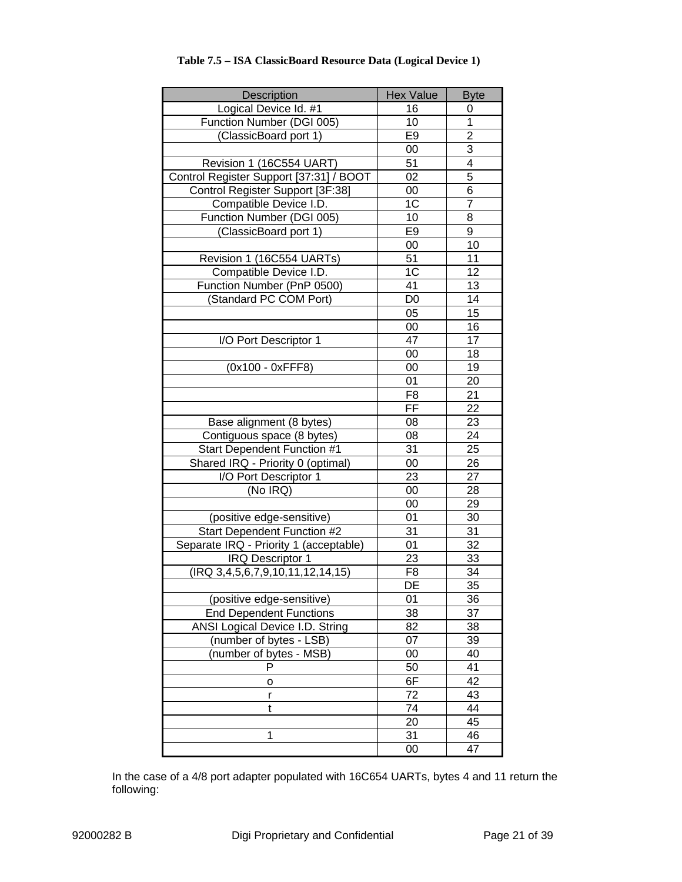| Description                             | <b>Hex Value</b> | <b>Byte</b>     |
|-----------------------------------------|------------------|-----------------|
| Logical Device Id. #1                   | 16               | 0               |
| Function Number (DGI 005)               | 10               | $\mathbf 1$     |
| (ClassicBoard port 1)                   | E <sub>9</sub>   | $\overline{2}$  |
|                                         | 00               | 3               |
| Revision 1 (16C554 UART)                | 51               | $\overline{4}$  |
| Control Register Support [37:31] / BOOT | 02               | 5               |
| Control Register Support [3F:38]        | 00               | 6               |
| Compatible Device I.D.                  | 1C               | $\overline{7}$  |
| Function Number (DGI 005)               | 10               | 8               |
| (ClassicBoard port 1)                   | E <sub>9</sub>   | 9               |
|                                         | 00               | 10              |
| Revision 1 (16C554 UARTs)               | 51               | 11              |
| Compatible Device I.D.                  | 1C               | 12              |
| Function Number (PnP 0500)              | 41               | 13              |
| (Standard PC COM Port)                  | D <sub>0</sub>   | 14              |
|                                         | 05               | 15              |
|                                         | 00               | 16              |
| I/O Port Descriptor 1                   | 47               | 17              |
|                                         | 00               | 18              |
| (0x100 - 0xFFF8)                        | 00               | 19              |
|                                         | 01               | 20              |
|                                         | F <sub>8</sub>   | 21              |
|                                         | FF               | $\overline{22}$ |
| Base alignment (8 bytes)                | 08               | 23              |
| Contiguous space (8 bytes)              | 08               | 24              |
| Start Dependent Function #1             | 31               | 25              |
| Shared IRQ - Priority 0 (optimal)       | 00               | 26              |
| I/O Port Descriptor 1                   | 23               | 27              |
| (No IRQ)                                | 00               | 28              |
|                                         | 00               | 29              |
| (positive edge-sensitive)               | 01               | 30              |
| Start Dependent Function #2             | 31               | 31              |
| Separate IRQ - Priority 1 (acceptable)  | 01               | $\overline{32}$ |
| <b>IRQ Descriptor 1</b>                 | 23               | 33              |
| $($ IRQ 3,4,5,6,7,9,10,11,12,14,15)     | F <sub>8</sub>   | 34              |
|                                         | $\overline{DE}$  | $\overline{35}$ |
| (positive edge-sensitive)               | 01               | 36              |
| <b>End Dependent Functions</b>          | 38               | 37              |
| <b>ANSI Logical Device I.D. String</b>  | 82               | 38              |
| (number of bytes - LSB)                 | 07               | 39              |
| (number of bytes - MSB)                 | 00               | 40              |
| P                                       | 50               | 41              |
| о                                       | 6F               | 42              |
| r                                       | 72               | 43              |
| t                                       | 74               | 44              |
|                                         | 20               | 45              |
| 1                                       | 31               | 46              |
|                                         | $00\,$           | 47              |

### **Table 7.5 – ISA ClassicBoard Resource Data (Logical Device 1)**

In the case of a 4/8 port adapter populated with 16C654 UARTs, bytes 4 and 11 return the following: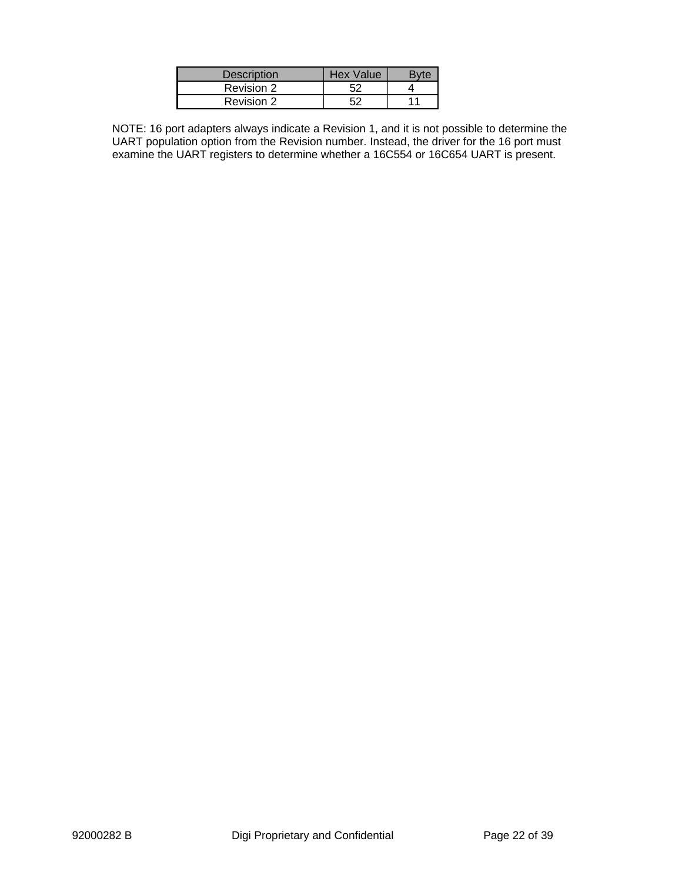| Description | <b>Hex Value</b> |  |
|-------------|------------------|--|
| Revision 2  |                  |  |
| Revision 2  |                  |  |

NOTE: 16 port adapters always indicate a Revision 1, and it is not possible to determine the UART population option from the Revision number. Instead, the driver for the 16 port must examine the UART registers to determine whether a 16C554 or 16C654 UART is present.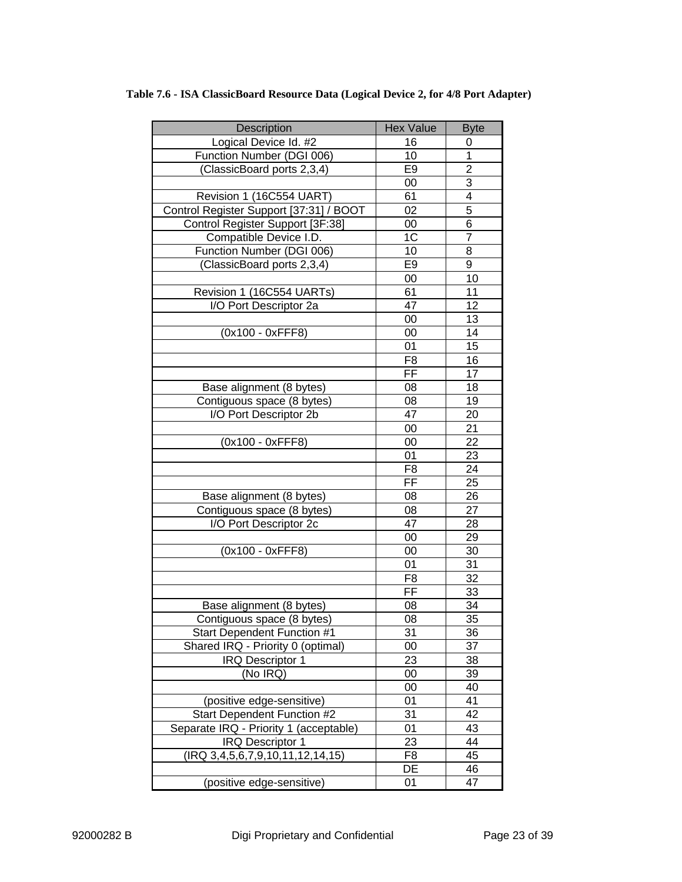| Description                             | <b>Hex Value</b>         | <b>Byte</b>     |
|-----------------------------------------|--------------------------|-----------------|
| Logical Device Id. #2                   | 16                       | 0               |
| Function Number (DGI 006)               | 10                       | 1               |
| (ClassicBoard ports 2,3,4)              | E <sub>9</sub>           | 2               |
|                                         | 00                       | 3               |
| Revision 1 (16C554 UART)                | 61                       | 4               |
| Control Register Support [37:31] / BOOT | 02                       | 5               |
| Control Register Support [3F:38]        | 00                       | 6               |
| Compatible Device I.D.                  | 1C                       | $\overline{7}$  |
| Function Number (DGI 006)               | 10                       | 8               |
| (ClassicBoard ports 2,3,4)              | E <sub>9</sub>           | 9               |
|                                         | 00                       | 10              |
| Revision 1 (16C554 UARTs)               | 61                       | 11              |
| I/O Port Descriptor 2a                  | 47                       | 12              |
|                                         | 00                       | 13              |
| (0x100 - 0xFFF8)                        | 00                       | 14              |
|                                         | 01                       | 15              |
|                                         | F <sub>8</sub>           | 16              |
|                                         | FF                       | 17              |
| Base alignment (8 bytes)                | 08                       | 18              |
| Contiguous space (8 bytes)              | 08                       | 19              |
| I/O Port Descriptor 2b                  | 47                       | 20              |
|                                         | 00                       | 21              |
| (0x100 - 0xFFF8)                        | 00                       | 22              |
|                                         | 01                       | 23              |
|                                         | F <sub>8</sub>           | 24              |
|                                         | $\overline{\mathsf{FF}}$ | 25              |
| Base alignment (8 bytes)                | 08                       | 26              |
| Contiguous space (8 bytes)              | 08                       | 27              |
| I/O Port Descriptor 2c                  | 47                       | 28              |
|                                         | 00                       | 29              |
| (0x100 - 0xFFF8)                        | 00                       | 30              |
|                                         | 01                       | 31              |
|                                         | F <sub>8</sub>           | 32              |
|                                         | FF                       | 33              |
| Base alignment (8 bytes)                | 08                       | 34              |
| Contiguous space (8 bytes)              | 08                       | $\overline{35}$ |
| <b>Start Dependent Function #1</b>      | 31                       | 36              |
| Shared IRQ - Priority 0 (optimal)       | 00                       | 37              |
| <b>IRQ Descriptor 1</b>                 | 23                       | 38              |
| (No IRQ)                                | 00                       | 39              |
|                                         | 00                       | 40              |
| (positive edge-sensitive)               | 01                       | 41              |
| <b>Start Dependent Function #2</b>      | 31                       | 42              |
| Separate IRQ - Priority 1 (acceptable)  | 01                       | 43              |
| <b>IRQ Descriptor 1</b>                 | 23                       | 44              |
| (IRQ 3,4,5,6,7,9,10,11,12,14,15)        | F8                       | 45              |
|                                         | DE                       | 46              |
| (positive edge-sensitive)               | 01                       | 47              |

**Table 7.6 - ISA ClassicBoard Resource Data (Logical Device 2, for 4/8 Port Adapter)**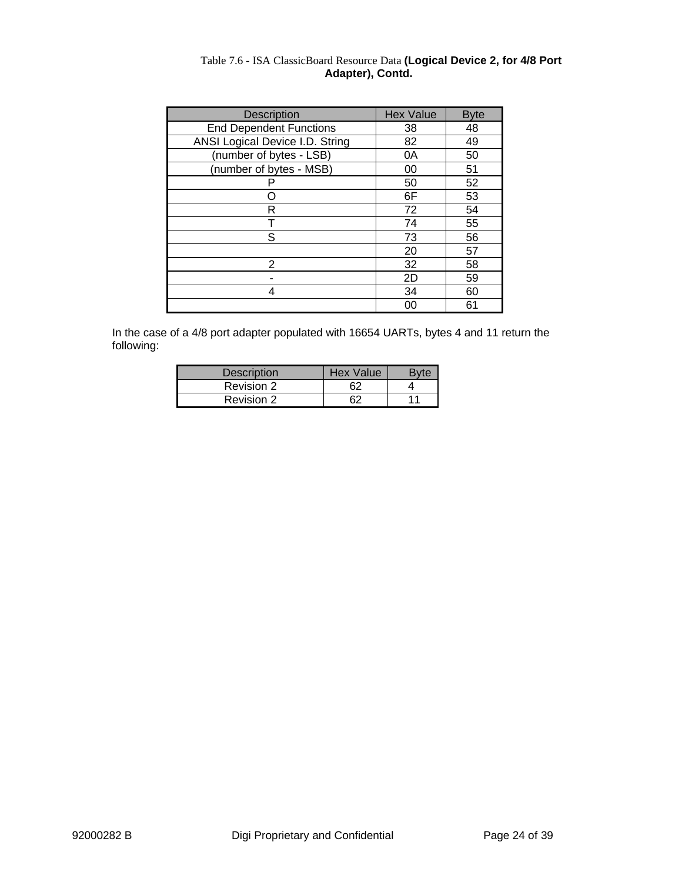| <b>Description</b>              | <b>Hex Value</b> | <b>Byte</b> |
|---------------------------------|------------------|-------------|
| <b>End Dependent Functions</b>  | 38               | 48          |
| ANSI Logical Device I.D. String | 82               | 49          |
| (number of bytes - LSB)         | 0A               | 50          |
| (number of bytes - MSB)         | 00               | 51          |
|                                 | 50               | 52          |
|                                 | 6F               | 53          |
| R                               | 72               | 54          |
|                                 | 74               | 55          |
| S                               | 73               | 56          |
|                                 | 20               | 57          |
| 2                               | 32               | 58          |
|                                 | 2D               | 59          |
| 4                               | 34               | 60          |
|                                 | 00               | 61          |

#### Table 7.6 - ISA ClassicBoard Resource Data **(Logical Device 2, for 4/8 Port Adapter), Contd.**

In the case of a 4/8 port adapter populated with 16654 UARTs, bytes 4 and 11 return the following:

| <b>Description</b> | Hex Value |  |
|--------------------|-----------|--|
| Revision 2         |           |  |
| Revision 2         |           |  |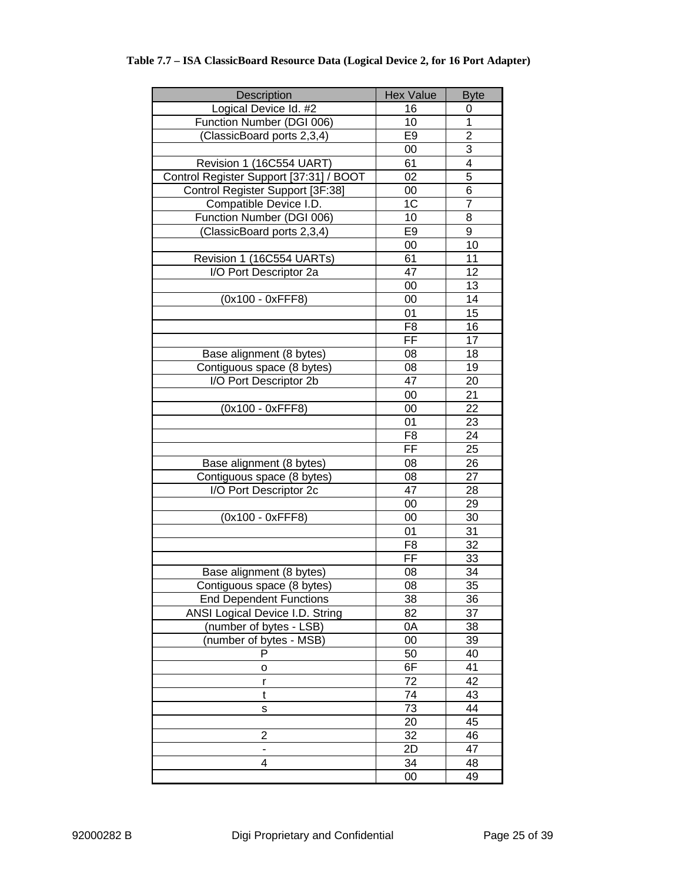### **Table 7.7 – ISA ClassicBoard Resource Data (Logical Device 2, for 16 Port Adapter)**

| Description                             | <b>Hex Value</b> | <b>Byte</b>     |
|-----------------------------------------|------------------|-----------------|
| Logical Device Id. #2                   | 16               | 0               |
| Function Number (DGI 006)               | 10               | 1               |
| (ClassicBoard ports 2,3,4)              | E9               | $\overline{2}$  |
|                                         | 00               | $\overline{3}$  |
| Revision 1 (16C554 UART)                | 61               | 4               |
| Control Register Support [37:31] / BOOT | 02               | $\overline{5}$  |
| Control Register Support [3F:38]        | 00               | 6               |
| Compatible Device I.D.                  | 1 <sup>C</sup>   | 7               |
| Function Number (DGI 006)               | 10               | 8               |
| (ClassicBoard ports 2,3,4)              | E <sub>9</sub>   | $\overline{9}$  |
|                                         | 00               | 10              |
| Revision 1 (16C554 UARTs)               | 61               | $\overline{11}$ |
| I/O Port Descriptor 2a                  | 47               | 12              |
|                                         | 00               | 13              |
| (0x100 - 0xFFF8)                        | 00               | 14              |
|                                         | 01               | 15              |
|                                         | F8               | 16              |
|                                         | FF               | 17              |
| Base alignment (8 bytes)                | 08               | 18              |
| Contiguous space (8 bytes)              | 08               | 19              |
| I/O Port Descriptor 2b                  | 47               | 20              |
|                                         | 00               | 21              |
| (0x100 - 0xFFF8)                        | 00               | 22              |
|                                         | 01               | 23              |
|                                         | F <sub>8</sub>   | 24              |
|                                         | FF               | 25              |
| Base alignment (8 bytes)                | 08               | 26              |
| Contiguous space (8 bytes)              | 08               | 27              |
| I/O Port Descriptor 2c                  | 47               | 28              |
|                                         | 00               | 29              |
| (0x100 - 0xFFF8)                        | $00\,$           | 30              |
|                                         | 01               | 31              |
|                                         | F <sub>8</sub>   | 32              |
|                                         | FF               | 33              |
| Base alignment (8 bytes)                | 08               | 34              |
| Contiguous space (8 bytes)              | 08               | $\overline{35}$ |
| <b>End Dependent Functions</b>          | 38               | 36              |
| <b>ANSI Logical Device I.D. String</b>  | 82               | 37              |
| (number of bytes - LSB)                 | 0A               | 38              |
| (number of bytes - MSB)<br>P            | $00\,$           | 39              |
|                                         | 50               | 40              |
| о                                       | 6F               | 41              |
| r                                       | 72<br>74         | 42<br>43        |
| t                                       |                  |                 |
| S                                       | 73               | 44<br>45        |
| $\overline{2}$                          | 20               |                 |
|                                         | 32               | 46              |
| $\qquad \qquad \blacksquare$<br>4       | 2D<br>34         | 47              |
|                                         |                  | 48<br>49        |
|                                         | 00               |                 |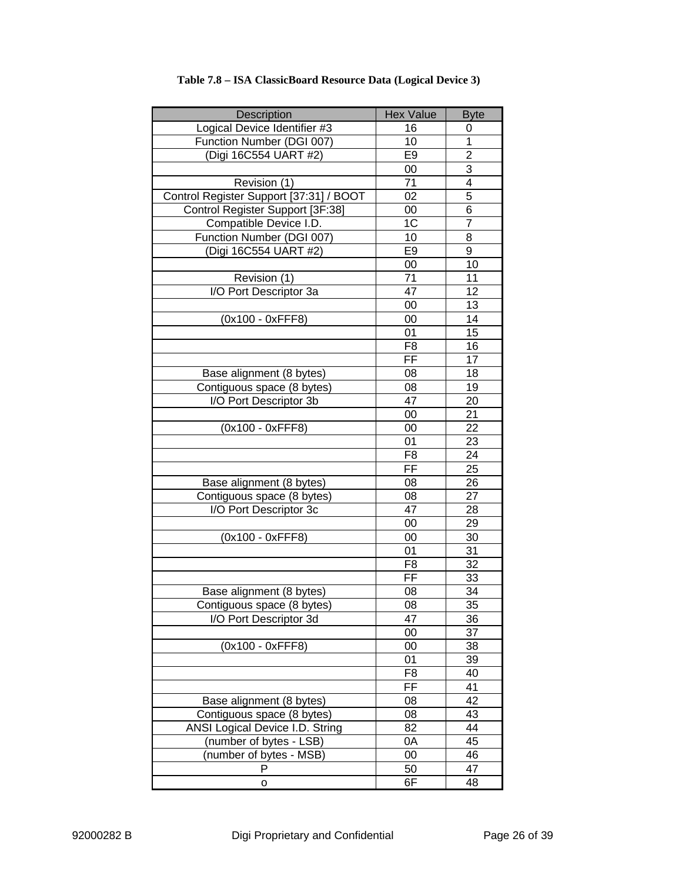| Description                                                | <b>Hex Value</b>         | <b>Byte</b>     |
|------------------------------------------------------------|--------------------------|-----------------|
| Logical Device Identifier #3                               | 16                       | 0               |
| Function Number (DGI 007)                                  | 10                       | $\overline{1}$  |
| (Digi 16C554 UART #2)                                      | E <sub>9</sub>           | $\overline{2}$  |
|                                                            | 00                       | 3               |
| Revision (1)                                               | 71                       | 4               |
| Control Register Support [37:31] / BOOT                    | 02                       | 5               |
| Control Register Support [3F:38]                           | 00                       | 6               |
| Compatible Device I.D.                                     | $1\overline{C}$          | $\overline{7}$  |
| Function Number (DGI 007)                                  | 10                       | 8               |
| (Digi 16C554 UART #2)                                      | E <sub>9</sub>           | 9               |
|                                                            | 00                       | 10              |
| Revision (1)                                               | 71                       | 11              |
| I/O Port Descriptor 3a                                     | 47                       | 12              |
|                                                            | 00                       | 13              |
| (0x100 - 0xFFF8)                                           | 00                       | 14              |
|                                                            | 01                       | 15              |
|                                                            | F <sub>8</sub>           | 16              |
|                                                            | FF                       | 17              |
| Base alignment (8 bytes)                                   | 08                       | 18              |
| Contiguous space (8 bytes)                                 | 08                       | 19              |
| I/O Port Descriptor 3b                                     | 47                       | 20              |
|                                                            | 00                       | 21              |
| (0x100 - 0xFFF8)                                           | 00                       | 22              |
|                                                            | 01                       | 23              |
|                                                            | F <sub>8</sub>           | 24              |
|                                                            | FF                       | 25              |
| Base alignment (8 bytes)                                   | 08                       | 26              |
| Contiguous space (8 bytes)                                 | 08                       | 27              |
| I/O Port Descriptor 3c                                     | 47                       | 28              |
|                                                            | 00                       | 29              |
| (0x100 - 0xFFF8)                                           | 00                       | 30              |
|                                                            | 01                       | 31              |
|                                                            | $\overline{F8}$          | 32              |
|                                                            | $\overline{\mathsf{FF}}$ | 33              |
| Base alignment (8 bytes)                                   | 08                       | 34              |
| Contiguous space (8 bytes)                                 | 08                       | $\overline{35}$ |
| I/O Port Descriptor 3d                                     | 47                       | 36              |
| (0x100 - 0xFFF8)                                           | 00                       | 37              |
|                                                            | 00                       | 38              |
|                                                            | 01                       | 39              |
|                                                            | F <sub>8</sub><br>FF     | 40<br>41        |
|                                                            | 08                       | 42              |
| Base alignment (8 bytes)                                   | 08                       |                 |
| Contiguous space (8 bytes)                                 |                          | 43<br>44        |
| ANSI Logical Device I.D. String<br>(number of bytes - LSB) | 82<br>0A                 | 45              |
| (number of bytes - MSB)                                    | 00                       | 46              |
| P                                                          | 50                       | 47              |
|                                                            | 6F                       | 48              |
| o                                                          |                          |                 |

### **Table 7.8 – ISA ClassicBoard Resource Data (Logical Device 3)**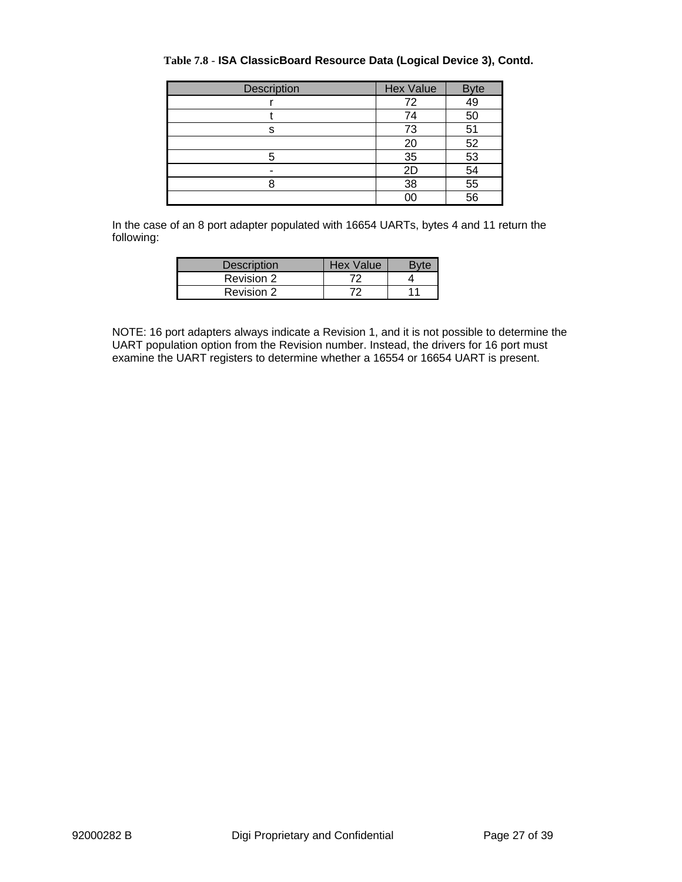| Description | <b>Hex Value</b> | <b>Byte</b>     |
|-------------|------------------|-----------------|
|             | 72               | 49              |
|             | 50<br>74         |                 |
| s           | 73               | 51              |
|             | 20               | 52              |
|             | 35               | 53              |
|             | 2D               | 54              |
|             | 38               | 55              |
|             | nr               | $\overline{56}$ |

#### **Table 7.8** - **ISA ClassicBoard Resource Data (Logical Device 3), Contd.**

In the case of an 8 port adapter populated with 16654 UARTs, bytes 4 and 11 return the following:

| <b>Description</b> | Hex Value |    |
|--------------------|-----------|----|
| Revision 2         |           |    |
| Revision 2         | フワー       | 11 |

NOTE: 16 port adapters always indicate a Revision 1, and it is not possible to determine the UART population option from the Revision number. Instead, the drivers for 16 port must examine the UART registers to determine whether a 16554 or 16654 UART is present.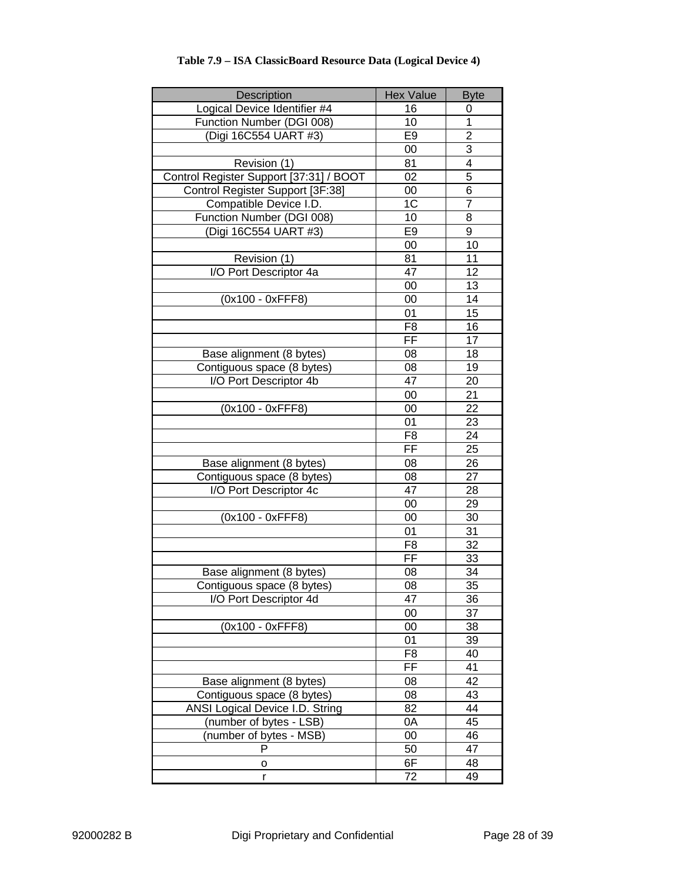| Description                             | <b>Hex Value</b>         | <b>Byte</b>     |
|-----------------------------------------|--------------------------|-----------------|
| Logical Device Identifier #4            | 16                       | 0               |
| Function Number (DGI 008)               | 10                       | $\overline{1}$  |
| (Digi 16C554 UART #3)                   | E <sub>9</sub>           | $\overline{2}$  |
|                                         | 00                       | 3               |
| Revision (1)                            | 81                       | 4               |
| Control Register Support [37:31] / BOOT | 02                       | 5               |
| Control Register Support [3F:38]        | 00                       | 6               |
| Compatible Device I.D.                  | 1C                       | $\overline{7}$  |
| Function Number (DGI 008)               | 10                       | 8               |
| (Digi 16C554 UART #3)                   | E <sub>9</sub>           | 9               |
|                                         | 10<br>00                 |                 |
| Revision (1)                            | 81                       | 11              |
| I/O Port Descriptor 4a                  | 47                       | 12              |
|                                         | 00                       | 13              |
| (0x100 - 0xFFF8)                        | 00                       | 14              |
|                                         | 01                       | 15              |
|                                         | F <sub>8</sub>           | 16              |
|                                         | FF                       | 17              |
| Base alignment (8 bytes)                | 08                       | 18              |
| Contiguous space (8 bytes)              | 08                       | 19              |
| I/O Port Descriptor 4b                  | 47                       | 20              |
|                                         | 00                       | 21              |
| (0x100 - 0xFFF8)                        | 00                       | 22              |
|                                         | 0 <sub>1</sub>           | 23              |
|                                         | F <sub>8</sub>           | 24              |
|                                         | $\overline{\mathsf{FF}}$ | 25              |
| Base alignment (8 bytes)                | 08                       | 26              |
| Contiguous space (8 bytes)              | 08                       | 27              |
| I/O Port Descriptor 4c                  | 47                       | 28              |
|                                         | 00                       | 29              |
| (0x100 - 0xFFF8)                        | 00                       | 30              |
|                                         | 01                       | 31              |
|                                         | F <sub>8</sub>           | 32              |
|                                         | FF                       | 33              |
| Base alignment (8 bytes)                | 08                       | 34              |
| Contiguous space (8 bytes)              | $\overline{08}$          | $\overline{35}$ |
| I/O Port Descriptor 4d                  | 47                       | 36              |
|                                         | 00                       | 37              |
| (0x100 - 0xFFF8)                        | 00                       | 38              |
|                                         | 01                       | 39              |
|                                         | F <sub>8</sub>           | 40              |
|                                         | $\overline{FF}$          | 41              |
| Base alignment (8 bytes)                | 08                       | 42              |
| Contiguous space (8 bytes)              | 08                       | 43              |
| <b>ANSI Logical Device I.D. String</b>  | 82                       | 44              |
| (number of bytes - LSB)                 | 0A                       | 45              |
| (number of bytes - MSB)                 | 00                       | 46              |
| P                                       | 50                       | 47              |
| o                                       | 6F                       | 48              |
| r                                       | 72                       | 49              |

#### **Table 7.9 – ISA ClassicBoard Resource Data (Logical Device 4)**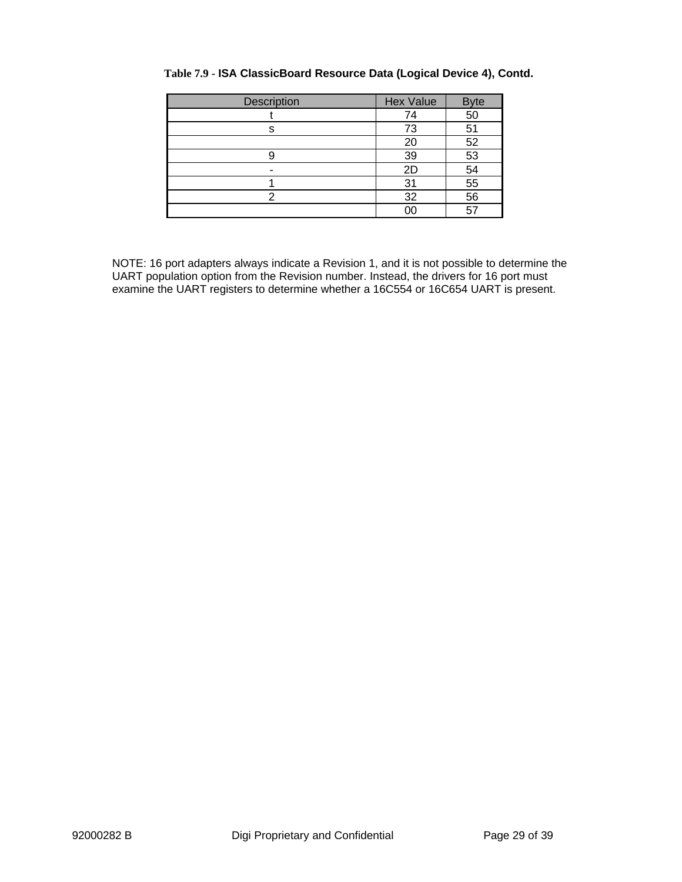| Description | <b>Hex Value</b><br><b>Byte</b> |    |
|-------------|---------------------------------|----|
|             | 50<br>74                        |    |
| s           | 73<br>51                        |    |
|             | 20                              | 52 |
|             | 39                              | 53 |
|             | 54<br>2D                        |    |
|             | 31                              | 55 |
|             | 56<br>32                        |    |
|             | ΟC                              |    |

#### **Table 7.9 - ISA ClassicBoard Resource Data (Logical Device 4), Contd.**

NOTE: 16 port adapters always indicate a Revision 1, and it is not possible to determine the UART population option from the Revision number. Instead, the drivers for 16 port must examine the UART registers to determine whether a 16C554 or 16C654 UART is present.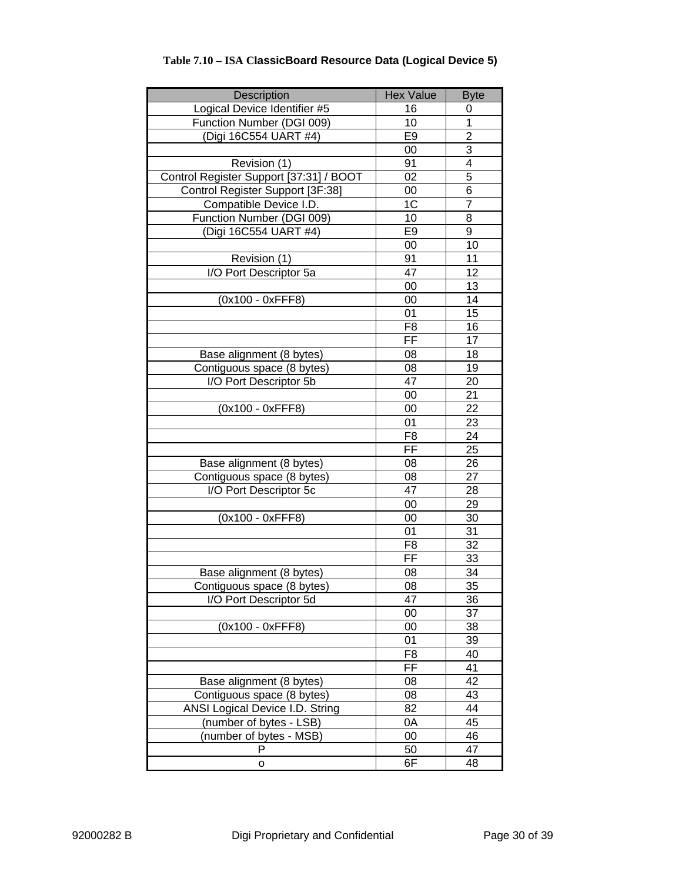| Description                             | <b>Hex Value</b>         | <b>Byte</b>     |
|-----------------------------------------|--------------------------|-----------------|
| Logical Device Identifier #5            | 16                       | 0               |
| Function Number (DGI 009)               | 10                       | 1               |
| (Digi 16C554 UART #4)                   | E <sub>9</sub>           | $\overline{2}$  |
|                                         | 00                       | 3               |
| Revision (1)                            | 91                       | 4               |
| Control Register Support [37:31] / BOOT | 02                       | 5               |
| Control Register Support [3F:38]        | 00                       | 6               |
| Compatible Device I.D.                  | 1C                       | $\overline{7}$  |
| Function Number (DGI 009)               | 10                       | 8               |
| (Digi 16C554 UART #4)                   | E <sub>9</sub>           | 9               |
|                                         | $\overline{00}$          | 10              |
| Revision (1)                            | 91                       | 11              |
| I/O Port Descriptor 5a                  | 47                       | 12              |
|                                         | 00                       | 13              |
| (0x100 - 0xFFF8)                        | 00                       | 14              |
|                                         | 01                       | 15              |
|                                         | F <sub>8</sub>           | 16              |
|                                         | $\overline{\mathsf{FF}}$ | 17              |
| Base alignment (8 bytes)                | 08                       | 18              |
| Contiguous space (8 bytes)              | 08                       | 19              |
| I/O Port Descriptor 5b                  | 47                       | 20              |
|                                         | 00                       | 21              |
| (0x100 - 0xFFF8)                        | 00                       | 22              |
|                                         | 01                       | 23              |
|                                         | F <sub>8</sub>           | 24              |
|                                         | FF                       | 25              |
| Base alignment (8 bytes)                | 08                       | 26              |
| Contiguous space (8 bytes)              | 08                       | 27              |
| I/O Port Descriptor 5c                  | 47                       | 28              |
|                                         | 00                       | 29              |
| (0x100 - 0xFFF8)                        | 00                       | 30              |
|                                         | 01                       | 31              |
|                                         | $F\overline{8}$          | 32              |
|                                         | FF                       | 33              |
| Base alignment (8 bytes)                | 08                       | 34              |
| Contiguous space (8 bytes)              | $\overline{08}$          | $\overline{35}$ |
| I/O Port Descriptor 5d                  | 47                       | 36              |
|                                         | 00                       | 37              |
| (0x100 - 0xFFF8)                        | 00                       | 38              |
|                                         | 01                       | 39              |
|                                         | F <sub>8</sub>           | 40              |
|                                         | FF                       | 41              |
| Base alignment (8 bytes)                | 08                       | 42              |
| Contiguous space (8 bytes)              | 08                       | 43              |
| ANSI Logical Device I.D. String         | 82                       | 44              |
| (number of bytes - LSB)                 | 0A                       | 45              |
| (number of bytes - MSB)                 | 00                       | 46              |
| P                                       | 50                       | 47              |
| о                                       | 6F                       | 48              |

### **Table 7.10 – ISA ClassicBoard Resource Data (Logical Device 5)**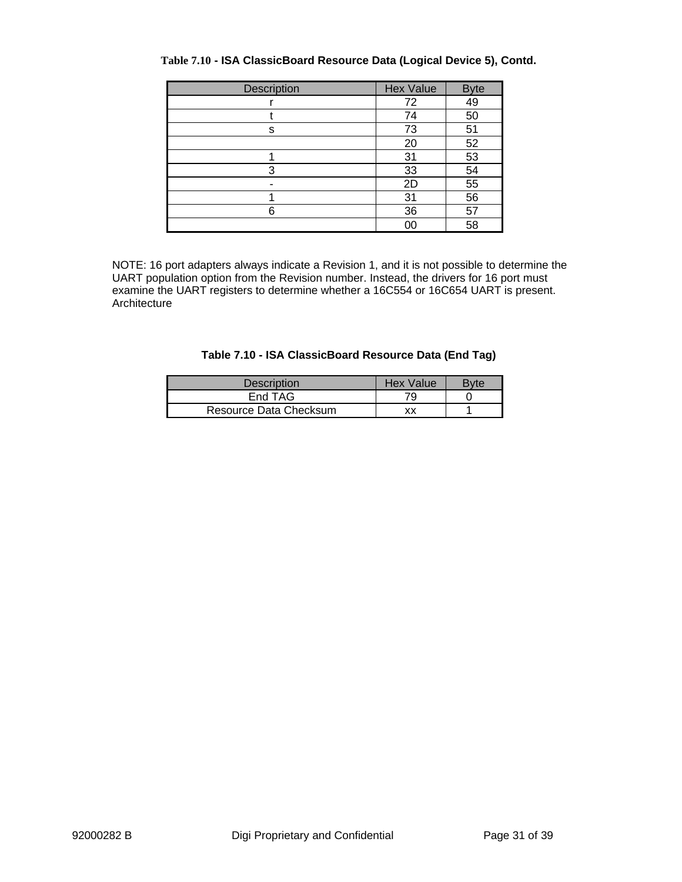| Description | <b>Hex Value</b> | <b>Byte</b> |
|-------------|------------------|-------------|
|             | 49<br>72         |             |
|             | 74               | 50          |
| s           | 73               | 51          |
|             | 20               | 52          |
|             | 31               | 53          |
| 3           | 33               | 54          |
|             | 2D               | 55          |
|             | 31               | 56          |
| 6           | 36               | 57          |
|             | 00               | 58          |

#### **Table 7.10 - ISA ClassicBoard Resource Data (Logical Device 5), Contd.**

NOTE: 16 port adapters always indicate a Revision 1, and it is not possible to determine the UART population option from the Revision number. Instead, the drivers for 16 port must examine the UART registers to determine whether a 16C554 or 16C654 UART is present. Architecture

| Table 7.10 - ISA ClassicBoard Resource Data (End Tag) |  |  |  |  |  |
|-------------------------------------------------------|--|--|--|--|--|
|-------------------------------------------------------|--|--|--|--|--|

| <b>Description</b>     | Hex Value | Bvte |
|------------------------|-----------|------|
| End TAG                | 79        |      |
| Resource Data Checksum | xх        |      |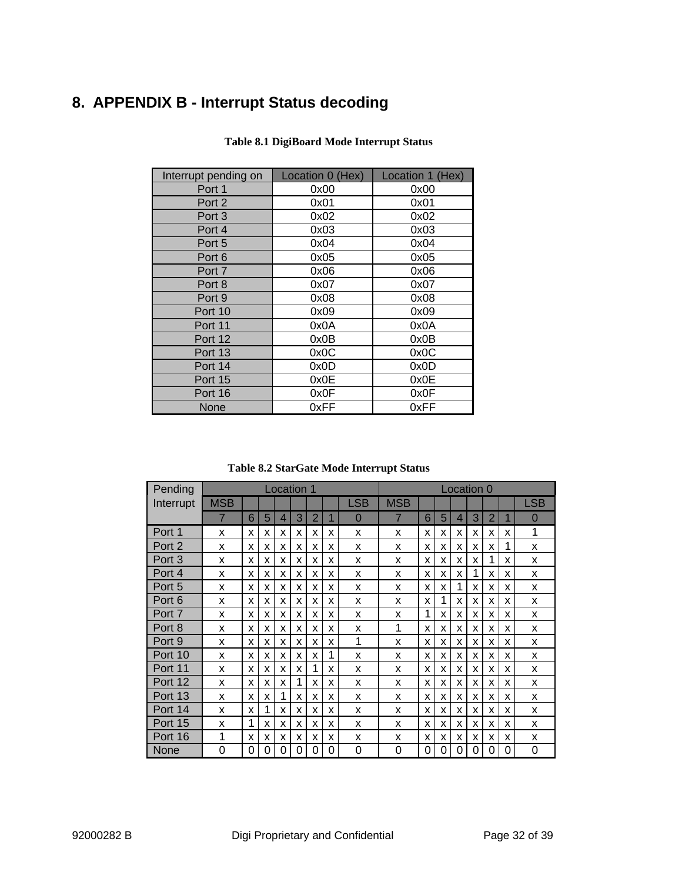# **8. APPENDIX B - Interrupt Status decoding**

| Interrupt pending on | Location 0 (Hex) | Location 1 (Hex) |
|----------------------|------------------|------------------|
| Port 1               | 0x00             | 0x00             |
| Port 2               | 0x01             | 0x01             |
| Port 3               | 0x02             | 0x02             |
| Port 4               | 0x03             | 0x03             |
| Port 5               | 0x04             | 0x04             |
| Port 6               | 0x05             | 0x05             |
| Port 7               | 0x06             | 0x06             |
| Port 8               | 0x07             | 0x07             |
| Port 9               | 0x08             | 0x08             |
| Port 10              | 0x09             | 0x09             |
| Port 11              | 0x0A             | 0x0A             |
| Port 12              | 0x0B             | 0x0B             |
| Port 13              | 0x0C             | 0x0C             |
| Port 14              | 0x0D             | 0x0D             |
| Port 15              | 0x0E             | 0x0E             |
| Port 16              | 0x0F             | 0x0F             |
| None                 | 0xFF             | 0xFF             |

#### **Table 8.1 DigiBoard Mode Interrupt Status**

**Table 8.2 StarGate Mode Interrupt Status**

| Pending   |                |   |   |   | Location 1 |                |   |                |             |   |   | Location 0 |   |                |   |                |
|-----------|----------------|---|---|---|------------|----------------|---|----------------|-------------|---|---|------------|---|----------------|---|----------------|
| Interrupt | <b>MSB</b>     |   |   |   |            |                |   | <b>LSB</b>     | <b>MSB</b>  |   |   |            |   |                |   | <b>LSB</b>     |
|           | $\overline{7}$ | 6 | 5 | 4 | 3          | $\overline{2}$ |   | $\overline{0}$ | 7           | 6 | 5 | 4          | 3 | $\overline{2}$ | 1 | $\overline{0}$ |
| Port 1    | X              | X | x | x | x          | x              | x | X              | x           | x | X | x          | x | x              | x | 1              |
| Port 2    | X              | X | x | x | x          | x              | x | X              | X           | x | X | x          | X | x              | 1 | X              |
| Port 3    | x              | x | X | x | x          | x              | x | X              | x           | x | X | x          | x | 1              | x | X              |
| Port 4    | X              | X | x | x | x          | x              | x | X              | x           | x | X | x          | 1 | x              | x | X              |
| Port 5    | X              | X | X | x | x          | x              | x | X              | X           | x | X | 1          | x | x              | x | X              |
| Port 6    | X              | X | X | х | x          | x              | X | X              | X           | x | 1 | x          | X | х              | x | X              |
| Port 7    | X              | X | x | x | x          | X              | X | X              | X           | 1 | X | x          | X | x              | x | X              |
| Port 8    | X              | X | x | X | x          | x              | X | X              | $\mathbf 1$ | x | X | X          | X | x              | x | X              |
| Port 9    | X              | X | X | X | X          | X              | X | 1              | X           | x | X | X          | x | X              | X | X              |
| Port 10   | X              | x | x | x | x          | x              | 1 | X              | x           | x | X | x          | X | x              | x | X              |
| Port 11   | X              | X | x | x | X          |                | x | X              | X           | x | X | x          | X | x              | x | X              |
| Port 12   | X              | X | X | x | 1          | X              | X | X              | X           | x | X | X          | X | X              | x | X              |
| Port 13   | X              | X | X | 1 | X          | X              | X | X              | x           | x | X | x          | X | x              | x | X              |
| Port 14   | X              | X | 1 | X | x          | x              | X | X              | X           | X | X | x          | X | x              | x | X              |
| Port 15   | X              | 1 | x | x | X          | X              | X | X              | X           | x | X | X          | x | X              | x | X              |
| Port 16   | 1              | x | x | x | x          | x              | x | X              | x           | x | X | x          | X | x              | x | X              |
| None      | 0              | 0 | 0 | 0 | 0          | 0              | 0 | 0              | 0           | 0 | 0 | 0          | 0 | 0              | 0 | 0              |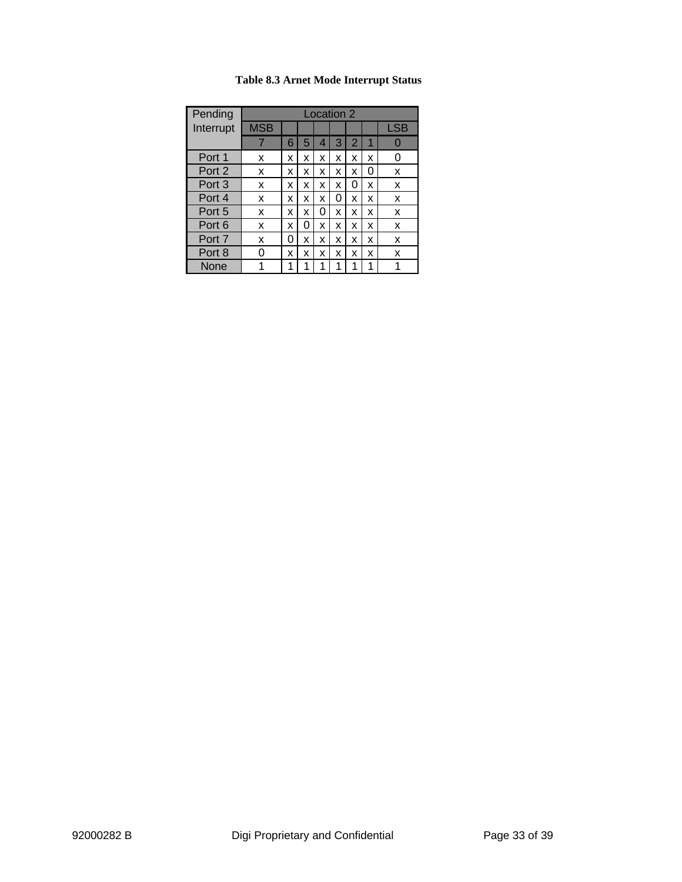| Pending   | Location 2 |   |   |   |   |                |   |            |
|-----------|------------|---|---|---|---|----------------|---|------------|
| Interrupt | <b>MSB</b> |   |   |   |   |                |   | <b>LSB</b> |
|           | 7          | 6 | 5 | 4 | 3 | $\overline{2}$ | 1 |            |
| Port 1    | x          | x | x | x | x | x              | x |            |
| Port 2    | x          | x | x | x | x | x              | 0 | x          |
| Port 3    | x          | x | x | x | x | 0              | x | X          |
| Port 4    | x          | x | x | x | 0 | x              | x | X          |
| Port 5    | x          | x | x | 0 | x | x              | x | x          |
| Port 6    | x          | x | 0 | X | x | x              | x | X          |
| Port 7    | x          | 0 | x | x | x | x              | x | X          |
| Port 8    | ი          | x | x | x | x | x              | x | X          |
| None      | 1          | 1 | 1 | 1 | 1 | 1              | 1 | 1          |

### **Table 8.3 Arnet Mode Interrupt Status**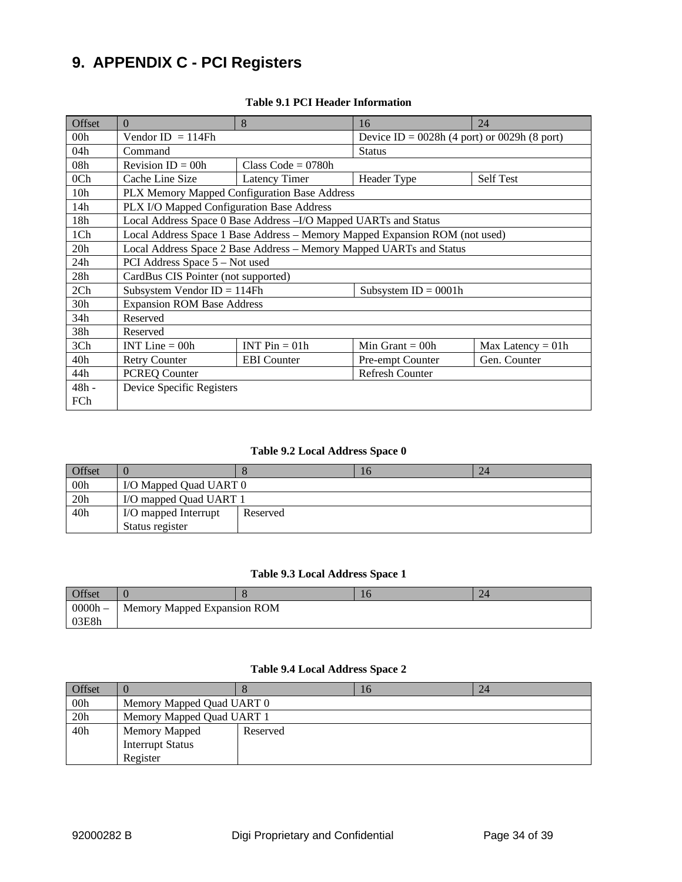# **9. APPENDIX C - PCI Registers**

| Offset          | $\Omega$                                  | 8                                                                   | 16                                                                          | 24                  |  |
|-----------------|-------------------------------------------|---------------------------------------------------------------------|-----------------------------------------------------------------------------|---------------------|--|
| 00 <sub>h</sub> | Vendor ID $= 114Fh$                       |                                                                     | Device ID = $0028h$ (4 port) or 0029h (8 port)                              |                     |  |
| 04h             | Command                                   |                                                                     | <b>Status</b>                                                               |                     |  |
| 08 <sub>h</sub> | Revision $ID = 00h$                       | Class Code = $0780h$                                                |                                                                             |                     |  |
| 0 <sub>Ch</sub> | Cache Line Size                           | Latency Timer                                                       | Header Type                                                                 | <b>Self Test</b>    |  |
| 10 <sub>h</sub> |                                           | PLX Memory Mapped Configuration Base Address                        |                                                                             |                     |  |
| 14h             | PLX I/O Mapped Configuration Base Address |                                                                     |                                                                             |                     |  |
| 18h             |                                           | Local Address Space 0 Base Address - I/O Mapped UARTs and Status    |                                                                             |                     |  |
| 1Ch             |                                           |                                                                     | Local Address Space 1 Base Address - Memory Mapped Expansion ROM (not used) |                     |  |
| 20 <sub>h</sub> |                                           | Local Address Space 2 Base Address - Memory Mapped UARTs and Status |                                                                             |                     |  |
| 24h             | PCI Address Space 5 – Not used            |                                                                     |                                                                             |                     |  |
| 28h             | CardBus CIS Pointer (not supported)       |                                                                     |                                                                             |                     |  |
| 2Ch             | Subsystem Vendor ID = $114Fh$             |                                                                     | Subsystem $ID = 0001h$                                                      |                     |  |
| 30 <sub>h</sub> | <b>Expansion ROM Base Address</b>         |                                                                     |                                                                             |                     |  |
| 34h             | Reserved                                  |                                                                     |                                                                             |                     |  |
| 38h             | Reserved                                  |                                                                     |                                                                             |                     |  |
| 3Ch             | INT Line $=$ 00h                          | INT $Pin = 01h$                                                     | Min Grant $=$ 00h                                                           | $Max$ Latency = 01h |  |
| 40h             | <b>Retry Counter</b>                      | <b>EBI</b> Counter                                                  | Pre-empt Counter                                                            | Gen. Counter        |  |
| 44h             | <b>PCREQ Counter</b>                      |                                                                     | Refresh Counter                                                             |                     |  |
| $48h -$         | Device Specific Registers                 |                                                                     |                                                                             |                     |  |
| FCh             |                                           |                                                                     |                                                                             |                     |  |

#### **Table 9.1 PCI Header Information**

#### **Table 9.2 Local Address Space 0**

| Offset |                        |          | 10 | 24 |  |  |
|--------|------------------------|----------|----|----|--|--|
| 00h    | I/O Mapped Quad UART 0 |          |    |    |  |  |
| 20h    | I/O mapped Quad UART 1 |          |    |    |  |  |
| 40h    | I/O mapped Interrupt   | Reserved |    |    |  |  |
|        | Status register        |          |    |    |  |  |

#### **Table 9.3 Local Address Space 1**

| Offset    |                             |  | 10 | 24 |  |  |  |  |
|-----------|-----------------------------|--|----|----|--|--|--|--|
| $0000h -$ | Memory Mapped Expansion ROM |  |    |    |  |  |  |  |
| 03E8h     |                             |  |    |    |  |  |  |  |

#### **Table 9.4 Local Address Space 2**

| Offset |                           |          | 16 | 24 |  |  |
|--------|---------------------------|----------|----|----|--|--|
| 00h    | Memory Mapped Quad UART 0 |          |    |    |  |  |
| 20h    | Memory Mapped Quad UART 1 |          |    |    |  |  |
| 40h    | Memory Mapped             | Reserved |    |    |  |  |
|        | <b>Interrupt Status</b>   |          |    |    |  |  |
|        | Register                  |          |    |    |  |  |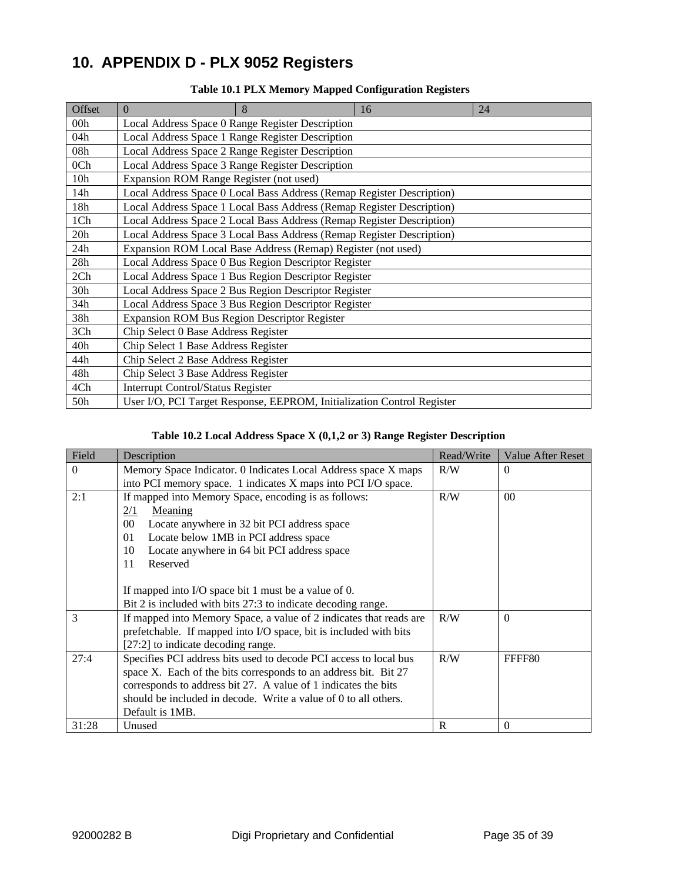# **10. APPENDIX D - PLX 9052 Registers**

| Offset          | $\Omega$                                            | 8                                                                      | 16 | 24 |
|-----------------|-----------------------------------------------------|------------------------------------------------------------------------|----|----|
| 00 <sub>h</sub> |                                                     | Local Address Space 0 Range Register Description                       |    |    |
| 04h             |                                                     | Local Address Space 1 Range Register Description                       |    |    |
| 08h             |                                                     | Local Address Space 2 Range Register Description                       |    |    |
| 0 <sub>Ch</sub> |                                                     | Local Address Space 3 Range Register Description                       |    |    |
| 10 <sub>h</sub> | Expansion ROM Range Register (not used)             |                                                                        |    |    |
| 14h             |                                                     | Local Address Space 0 Local Bass Address (Remap Register Description)  |    |    |
| 18h             |                                                     | Local Address Space 1 Local Bass Address (Remap Register Description)  |    |    |
| 1Ch             |                                                     | Local Address Space 2 Local Bass Address (Remap Register Description)  |    |    |
| 20h             |                                                     | Local Address Space 3 Local Bass Address (Remap Register Description)  |    |    |
| 24h             |                                                     | Expansion ROM Local Base Address (Remap) Register (not used)           |    |    |
| 28h             |                                                     | Local Address Space 0 Bus Region Descriptor Register                   |    |    |
| 2Ch             |                                                     | Local Address Space 1 Bus Region Descriptor Register                   |    |    |
| 30 <sub>h</sub> |                                                     | Local Address Space 2 Bus Region Descriptor Register                   |    |    |
| 34h             |                                                     | Local Address Space 3 Bus Region Descriptor Register                   |    |    |
| 38h             | <b>Expansion ROM Bus Region Descriptor Register</b> |                                                                        |    |    |
| 3Ch             | Chip Select 0 Base Address Register                 |                                                                        |    |    |
| 40h             | Chip Select 1 Base Address Register                 |                                                                        |    |    |
| 44h             | Chip Select 2 Base Address Register                 |                                                                        |    |    |
| 48h             | Chip Select 3 Base Address Register                 |                                                                        |    |    |
| 4Ch             | <b>Interrupt Control/Status Register</b>            |                                                                        |    |    |
| 50h             |                                                     | User I/O, PCI Target Response, EEPROM, Initialization Control Register |    |    |

#### **Table 10.1 PLX Memory Mapped Configuration Registers**

#### **Table 10.2 Local Address Space X (0,1,2 or 3) Range Register Description**

| Field    | Description                                                        | Read/Write | <b>Value After Reset</b> |
|----------|--------------------------------------------------------------------|------------|--------------------------|
| $\Omega$ | Memory Space Indicator. 0 Indicates Local Address space X maps     | R/W        | $\Omega$                 |
|          | into PCI memory space. 1 indicates X maps into PCI I/O space.      |            |                          |
| 2:1      | If mapped into Memory Space, encoding is as follows:               | R/W        | 0 <sup>0</sup>           |
|          | 2/1<br>Meaning                                                     |            |                          |
|          | $00\,$<br>Locate anywhere in 32 bit PCI address space              |            |                          |
|          | Locate below 1MB in PCI address space<br>01                        |            |                          |
|          | Locate anywhere in 64 bit PCI address space<br>10                  |            |                          |
|          | 11<br>Reserved                                                     |            |                          |
|          |                                                                    |            |                          |
|          | If mapped into I/O space bit 1 must be a value of 0.               |            |                          |
|          | Bit 2 is included with bits 27:3 to indicate decoding range.       |            |                          |
| 3        | If mapped into Memory Space, a value of 2 indicates that reads are | R/W        | $\Omega$                 |
|          | prefetchable. If mapped into I/O space, bit is included with bits  |            |                          |
|          | [27:2] to indicate decoding range.                                 |            |                          |
| 27:4     | Specifies PCI address bits used to decode PCI access to local bus  | R/W        | FFFF80                   |
|          | space X. Each of the bits corresponds to an address bit. Bit 27    |            |                          |
|          | corresponds to address bit 27. A value of 1 indicates the bits     |            |                          |
|          | should be included in decode. Write a value of 0 to all others.    |            |                          |
|          | Default is 1MB.                                                    |            |                          |
| 31:28    | Unused                                                             | R          | $\theta$                 |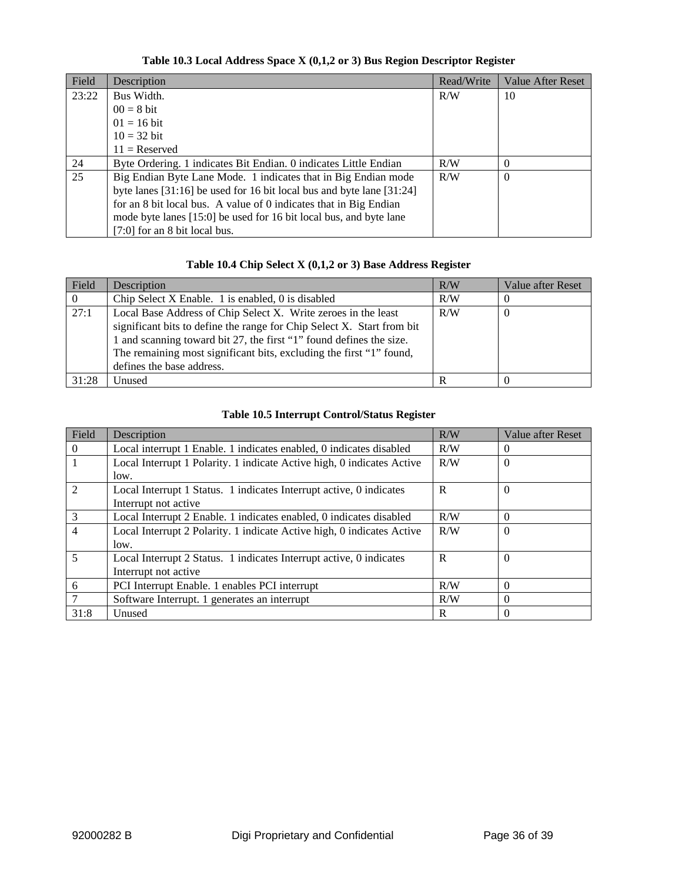### **Table 10.3 Local Address Space X (0,1,2 or 3) Bus Region Descriptor Register**

| Field | Description                                                               | Read/Write | <b>Value After Reset</b> |
|-------|---------------------------------------------------------------------------|------------|--------------------------|
| 23:22 | Bus Width.                                                                | R/W        | 10                       |
|       | $00 = 8$ bit                                                              |            |                          |
|       | $01 = 16$ bit                                                             |            |                          |
|       | $10 = 32$ bit                                                             |            |                          |
|       | $11 =$ Reserved                                                           |            |                          |
| 24    | Byte Ordering. 1 indicates Bit Endian. 0 indicates Little Endian          | R/W        | $\Omega$                 |
| 25    | Big Endian Byte Lane Mode. 1 indicates that in Big Endian mode            | R/W        | $\Omega$                 |
|       | byte lanes $[31:16]$ be used for 16 bit local bus and byte lane $[31:24]$ |            |                          |
|       | for an 8 bit local bus. A value of 0 indicates that in Big Endian         |            |                          |
|       | mode byte lanes [15:0] be used for 16 bit local bus, and byte lane        |            |                          |
|       | $[7:0]$ for an 8 bit local bus.                                           |            |                          |

#### **Table 10.4 Chip Select X (0,1,2 or 3) Base Address Register**

| Field | Description                                                            | R/W | Value after Reset |
|-------|------------------------------------------------------------------------|-----|-------------------|
|       | Chip Select X Enable. 1 is enabled, 0 is disabled                      | R/W |                   |
| 27:1  | Local Base Address of Chip Select X. Write zeroes in the least         | R/W | -0                |
|       | significant bits to define the range for Chip Select X. Start from bit |     |                   |
|       | 1 and scanning toward bit 27, the first "1" found defines the size.    |     |                   |
|       | The remaining most significant bits, excluding the first "1" found,    |     |                   |
|       | defines the base address.                                              |     |                   |
| 31:28 | Unused                                                                 | R   |                   |

### **Table 10.5 Interrupt Control/Status Register**

| Field          | Description                                                            | R/W | Value after Reset |
|----------------|------------------------------------------------------------------------|-----|-------------------|
| $\Omega$       | Local interrupt 1 Enable. 1 indicates enabled, 0 indicates disabled    | R/W | $\Omega$          |
|                | Local Interrupt 1 Polarity. 1 indicate Active high, 0 indicates Active | R/W | $\Omega$          |
|                | low.                                                                   |     |                   |
| $\overline{2}$ | Local Interrupt 1 Status. 1 indicates Interrupt active, 0 indicates    | R   | $\Omega$          |
|                | Interrupt not active                                                   |     |                   |
| 3              | Local Interrupt 2 Enable. 1 indicates enabled, 0 indicates disabled    | R/W | $\theta$          |
| $\overline{4}$ | Local Interrupt 2 Polarity. 1 indicate Active high, 0 indicates Active | R/W | $\Omega$          |
|                | low.                                                                   |     |                   |
| $\overline{5}$ | Local Interrupt 2 Status. 1 indicates Interrupt active, 0 indicates    | R   | $\Omega$          |
|                | Interrupt not active                                                   |     |                   |
| 6              | PCI Interrupt Enable. 1 enables PCI interrupt                          | R/W | $\theta$          |
| 7              | Software Interrupt. 1 generates an interrupt                           | R/W | $\Omega$          |
| 31:8           | Unused                                                                 | R   | $\Omega$          |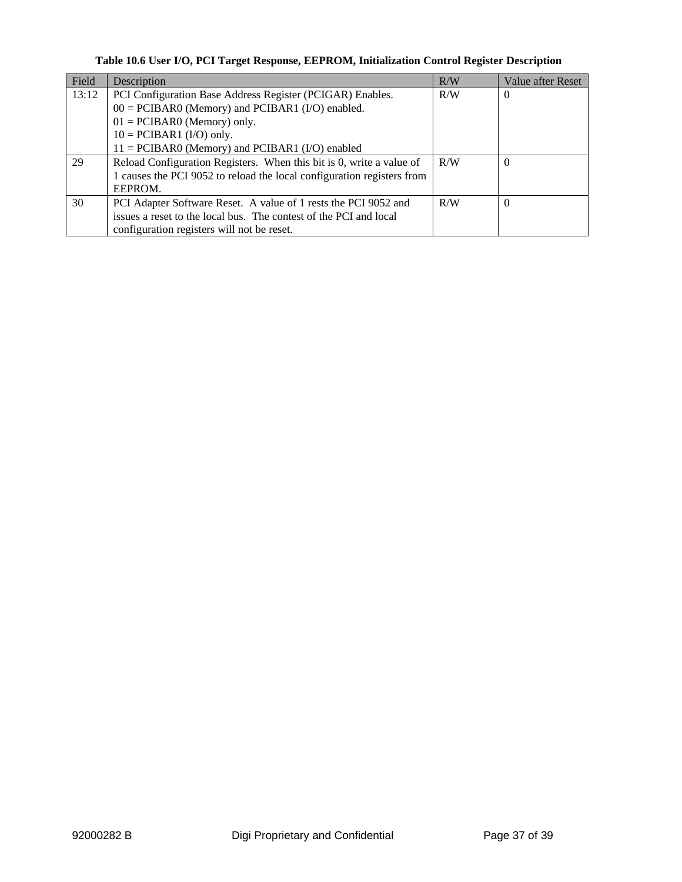### **Table 10.6 User I/O, PCI Target Response, EEPROM, Initialization Control Register Description**

| Field | Description                                                            | R/W | Value after Reset |
|-------|------------------------------------------------------------------------|-----|-------------------|
| 13:12 | PCI Configuration Base Address Register (PCIGAR) Enables.              | R/W | $\Omega$          |
|       | $00 = PCIBAR0$ (Memory) and PCIBAR1 (I/O) enabled.                     |     |                   |
|       | $01 = PCIBAR0$ (Memory) only.                                          |     |                   |
|       | $10 = PCIBAR1 (I/O) only.$                                             |     |                   |
|       | $11 = PCIBAR0$ (Memory) and PCIBAR1 (I/O) enabled                      |     |                   |
| 29    | Reload Configuration Registers. When this bit is 0, write a value of   | R/W |                   |
|       | 1 causes the PCI 9052 to reload the local configuration registers from |     |                   |
|       | EEPROM.                                                                |     |                   |
| 30    | PCI Adapter Software Reset. A value of 1 rests the PCI 9052 and        | R/W |                   |
|       | issues a reset to the local bus. The contest of the PCI and local      |     |                   |
|       | configuration registers will not be reset.                             |     |                   |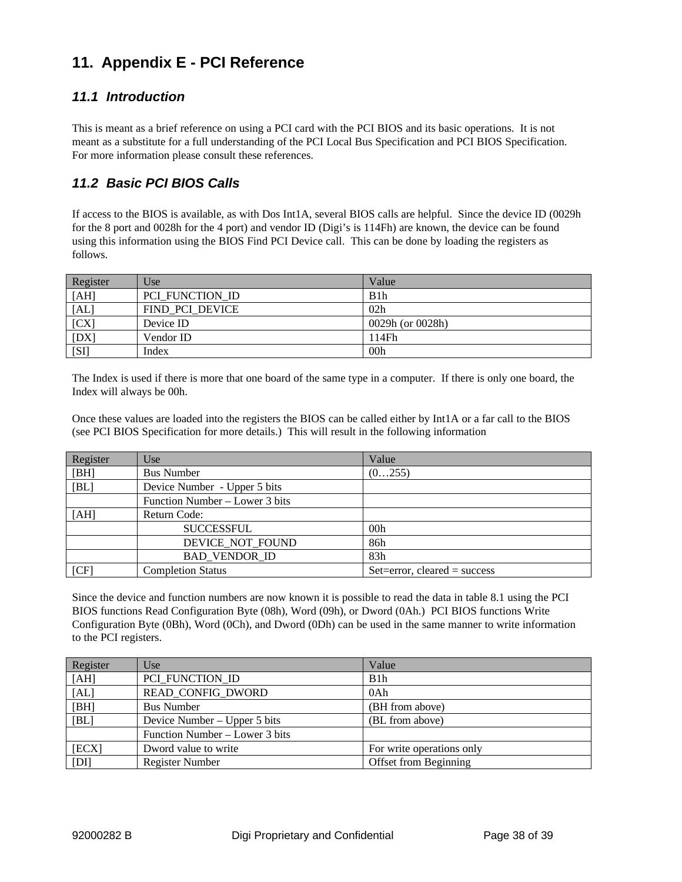# **11. Appendix E - PCI Reference**

### *11.1 Introduction*

This is meant as a brief reference on using a PCI card with the PCI BIOS and its basic operations. It is not meant as a substitute for a full understanding of the PCI Local Bus Specification and PCI BIOS Specification. For more information please consult these references.

## *11.2 Basic PCI BIOS Calls*

If access to the BIOS is available, as with Dos Int1A, several BIOS calls are helpful. Since the device ID (0029h for the 8 port and 0028h for the 4 port) and vendor ID (Digi's is 114Fh) are known, the device can be found using this information using the BIOS Find PCI Device call. This can be done by loading the registers as follows.

| Register | Use             | Value            |
|----------|-----------------|------------------|
| [AH]     | PCI FUNCTION ID | B <sub>1</sub> h |
| [AL]     | FIND PCI DEVICE | 02h              |
| [CX]     | Device ID       | 0029h (or 0028h) |
| [DX]     | Vendor ID       | 114Fh            |
| [S]      | Index           | 00 <sub>h</sub>  |

The Index is used if there is more that one board of the same type in a computer. If there is only one board, the Index will always be 00h.

Once these values are loaded into the registers the BIOS can be called either by Int1A or a far call to the BIOS (see PCI BIOS Specification for more details.) This will result in the following information

| Register | Use                            | Value                          |
|----------|--------------------------------|--------------------------------|
| [BH]     | <b>Bus Number</b>              | (0255)                         |
| [BL]     | Device Number - Upper 5 bits   |                                |
|          | Function Number – Lower 3 bits |                                |
| [AH]     | Return Code:                   |                                |
|          | <b>SUCCESSFUL</b>              | 00h                            |
|          | DEVICE NOT FOUND               | 86h                            |
|          | <b>BAD VENDOR ID</b>           | 83h                            |
| [CF]     | <b>Completion Status</b>       | $Set=error, cleared = success$ |

Since the device and function numbers are now known it is possible to read the data in table 8.1 using the PCI BIOS functions Read Configuration Byte (08h), Word (09h), or Dword (0Ah.) PCI BIOS functions Write Configuration Byte (0Bh), Word (0Ch), and Dword (0Dh) can be used in the same manner to write information to the PCI registers.

| Register | Use                            | Value                     |
|----------|--------------------------------|---------------------------|
| [AH]     | PCI_FUNCTION_ID                | B1h                       |
| [AL]     | READ CONFIG DWORD              | 0Ah                       |
| [BH]     | <b>Bus Number</b>              | (BH from above)           |
| [BL]     | Device Number $-$ Upper 5 bits | (BL from above)           |
|          | Function Number – Lower 3 bits |                           |
| [ECX]    | Dword value to write           | For write operations only |
| [DI]     | <b>Register Number</b>         | Offset from Beginning     |